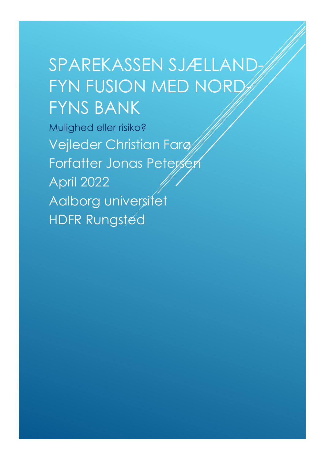# SPAREKASSEN SJÆLLAND-FYN FUSION MED NORD-FYNS BANK

Mulighed eller risiko? Vejleder Christian Farø Forfatter Jonas Peterser April 2022 Aalborg universitet HDFR Rungsted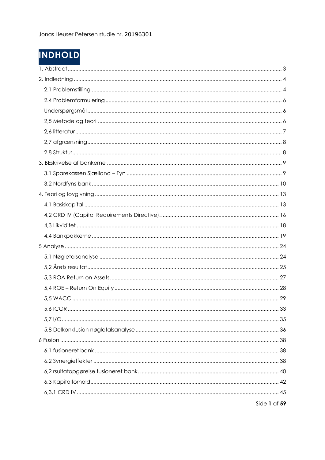# **INDHOLD**

| 5.6 IC.GR | 33           |
|-----------|--------------|
|           |              |
|           |              |
|           |              |
|           |              |
|           |              |
|           |              |
|           |              |
|           |              |
|           | Side 1 af 59 |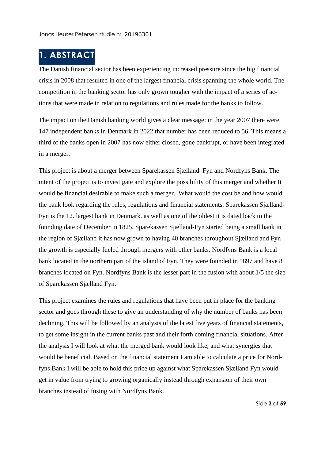### <span id="page-3-0"></span>**1. ABSTRACT**

The Danish financial sector has been experiencing increased pressure since the big financial crisis in 2008 that resulted in one of the largest financial crisis spanning the whole world. The competition in the banking sector has only grown tougher with the impact of a series of actions that were made in relation to regulations and rules made for the banks to follow.

The impact on the Danish banking world gives a clear message; in the year 2007 there were 147 independent banks in Denmark in 2022 that number has been reduced to 56. This means a third of the banks open in 2007 has now either closed, gone bankrupt, or have been integrated in a merger.

This project is about a merger between Sparekassen Sjælland–Fyn and Nordfyns Bank. The intent of the project is to investigate and explore the possibility of this merger and whether It would be financial desirable to make such a merger. What would the cost be and how would the bank look regarding the rules, regulations and financial statements. Sparekassen Sjælland-Fyn is the 12. largest bank in Denmark. as well as one of the oldest it is dated back to the founding date of December in 1825. Sparekassen Sjælland-Fyn started being a small bank in the region of Sjælland it has now grown to having 40 branches throughout Sjælland and Fyn the growth is especially fueled through mergers with other banks. Nordfyns Bank is a local bank located in the northern part of the island of Fyn. They were founded in 1897 and have 8 branches located on Fyn. Nordfyns Bank is the lesser part in the fusion with about 1/5 the size of Sparekassen Sjælland Fyn.

This project examines the rules and regulations that have been put in place for the banking sector and goes through these to give an understanding of why the number of banks has been declining. This will be followed by an analysis of the latest five years of financial statements, to get some insight in the current banks past and their forth coming financial situations. After the analysis I will look at what the merged bank would look like, and what synergies that would be beneficial. Based on the financial statement I am able to calculate a price for Nordfyns Bank I will be able to hold this price up against what Sparekassen Sjælland Fyn would get in value from trying to growing organically instead through expansion of their own branches instead of fusing with Nordfyns Bank.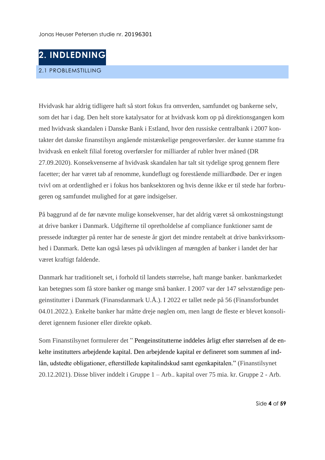<span id="page-4-1"></span><span id="page-4-0"></span>

Hvidvask har aldrig tidligere haft så stort fokus fra omverden, samfundet og bankerne selv, som det har i dag. Den helt store katalysator for at hvidvask kom op på direktionsgangen kom med hvidvask skandalen i Danske Bank i Estland, hvor den russiske centralbank i 2007 kontakter det danske finanstilsyn angående mistænkelige pengeoverførsler. der kunne stamme fra hvidvask en enkelt filial foretog overførsler for milliarder af rubler hver måned (DR 27.09.2020). Konsekvenserne af hvidvask skandalen har talt sit tydelige sprog gennem flere facetter; der har været tab af renomme, kundeflugt og forestående milliardbøde. Der er ingen tvivl om at ordentlighed er i fokus hos banksektoren og hvis denne ikke er til stede har forbrugeren og samfundet mulighed for at gøre indsigelser.

På baggrund af de før nævnte mulige konsekvenser, har det aldrig været så omkostningstungt at drive banker i Danmark. Udgifterne til opretholdelse af compliance funktioner samt de pressede indtægter på renter har de seneste år gjort det mindre rentabelt at drive bankvirksomhed i Danmark. Dette kan også læses på udviklingen af mængden af banker i landet der har været kraftigt faldende.

Danmark har traditionelt set, i forhold til landets størrelse, haft mange banker. bankmarkedet kan betegnes som få store banker og mange små banker. I 2007 var der 147 selvstændige pengeinstitutter i Danmark (Finansdanmark U.Å.). I 2022 er tallet nede på 56 (Finansforbundet 04.01.2022.). Enkelte banker har måtte dreje nøglen om, men langt de fleste er blevet konsolideret igennem fusioner eller direkte opkøb.

Som Finanstilsynet formulerer det " Pengeinstitutterne inddeles årligt efter størrelsen af de enkelte institutters arbejdende kapital. Den arbejdende kapital er defineret som summen af indlån, udstedte obligationer, efterstillede kapitalindskud samt egenkapitalen." (Finanstilsynet 20.12.2021). Disse bliver inddelt i Gruppe 1 – Arb.. kapital over 75 mia. kr. Gruppe 2 - Arb.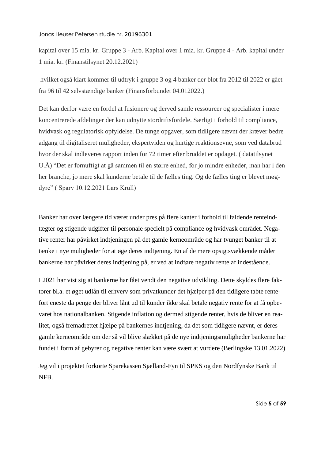kapital over 15 mia. kr. Gruppe 3 - Arb. Kapital over 1 mia. kr. Gruppe 4 - Arb. kapital under 1 mia. kr. (Finanstilsynet 20.12.2021)

hvilket også klart kommer til udtryk i gruppe 3 og 4 banker der blot fra 2012 til 2022 er gået fra 96 til 42 selvstændige banker (Finansforbundet 04.012022.)

Det kan derfor være en fordel at fusionere og derved samle ressourcer og specialister i mere koncentrerede afdelinger der kan udnytte stordriftsfordele. Særligt i forhold til compliance, hvidvask og regulatorisk opfyldelse. De tunge opgaver, som tidligere nævnt der kræver bedre adgang til digitaliseret muligheder, ekspertviden og hurtige reaktionsevne, som ved databrud hvor der skal indleveres rapport inden for 72 timer efter bruddet er opdaget. ( datatilsynet U.Å) "Det er fornuftigt at gå sammen til en større enhed, for jo mindre enheder, man har i den her branche, jo mere skal kunderne betale til de fælles ting. Og de fælles ting er blevet møgdyre" ( Sparv 10.12.2021 Lars Krull)

Banker har over længere tid været under pres på flere kanter i forhold til faldende renteindtægter og stigende udgifter til personale specielt på compliance og hvidvask området. Negative renter har påvirket indtjeningen på det gamle kerneområde og har tvunget banker til at tænke i nye muligheder for at øge deres indtjening. En af de mere opsigtsvækkende måder bankerne har påvirket deres indtjening på, er ved at indføre negativ rente af indestående.

I 2021 har vist sig at bankerne har fået vendt den negative udvikling. Dette skyldes flere faktorer bl.a. et øget udlån til erhverv som privatkunder det hjælper på den tidligere tabte rentefortjeneste da penge der bliver lånt ud til kunder ikke skal betale negativ rente for at få opbevaret hos nationalbanken. Stigende inflation og dermed stigende renter, hvis de bliver en realitet, også fremadrettet hjælpe på bankernes indtjening, da det som tidligere nævnt, er deres gamle kerneområde om der så vil blive slækket på de nye indtjeningsmuligheder bankerne har fundet i form af gebyrer og negative renter kan være svært at vurdere (Berlingske 13.01.2022)

Jeg vil i projektet forkorte Sparekassen Sjælland-Fyn til SPKS og den Nordfynske Bank til NFB.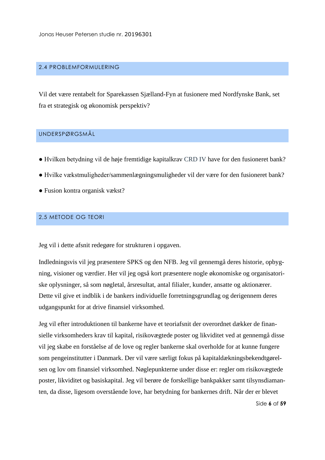#### <span id="page-6-0"></span>2.4 PROBLEMFORMULERING

Vil det være rentabelt for Sparekassen Sjælland-Fyn at fusionere med Nordfynske Bank, set fra et strategisk og økonomisk perspektiv?

#### <span id="page-6-1"></span>UNDERSPØRGSMÅL

- Hvilken betydning vil de høje fremtidige kapitalkrav CRD IV have for den fusioneret bank?
- Hvilke vækstmuligheder/sammenlægningsmuligheder vil der være for den fusioneret bank?
- Fusion kontra organisk vækst?

#### <span id="page-6-2"></span>2,5 METODE OG TEORI

Jeg vil i dette afsnit redegøre for strukturen i opgaven.

Indledningsvis vil jeg præsentere SPKS og den NFB. Jeg vil gennemgå deres historie, opbygning, visioner og værdier. Her vil jeg også kort præsentere nogle økonomiske og organisatoriske oplysninger, så som nøgletal, årsresultat, antal filialer, kunder, ansatte og aktionærer. Dette vil give et indblik i de bankers individuelle forretningsgrundlag og derigennem deres udgangspunkt for at drive finansiel virksomhed.

Jeg vil efter introduktionen til bankerne have et teoriafsnit der overordnet dækker de finansielle virksomheders krav til kapital, risikovægtede poster og likviditet ved at gennemgå disse vil jeg skabe en forståelse af de love og regler bankerne skal overholde for at kunne fungere som pengeinstitutter i Danmark. Der vil være særligt fokus på kapitaldækningsbekendtgørelsen og lov om finansiel virksomhed. Nøglepunkterne under disse er: regler om risikovægtede poster, likviditet og basiskapital. Jeg vil berøre de forskellige bankpakker samt tilsynsdiamanten, da disse, ligesom overstående love, har betydning for bankernes drift. Når der er blevet

Side **6** af **59**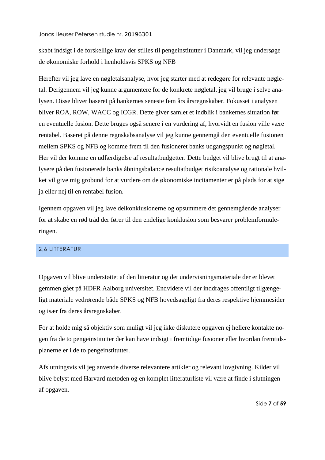skabt indsigt i de forskellige krav der stilles til pengeinstitutter i Danmark, vil jeg undersøge de økonomiske forhold i henholdsvis SPKS og NFB

Herefter vil jeg lave en nøgletalsanalyse, hvor jeg starter med at redegøre for relevante nøgletal. Derigennem vil jeg kunne argumentere for de konkrete nøgletal, jeg vil bruge i selve analysen. Disse bliver baseret på bankernes seneste fem års årsregnskaber. Fokusset i analysen bliver ROA, ROW, WACC og ICGR. Dette giver samlet et indblik i bankernes situation før en eventuelle fusion. Dette bruges også senere i en vurdering af, hvorvidt en fusion ville være rentabel. Baseret på denne regnskabsanalyse vil jeg kunne gennemgå den eventuelle fusionen mellem SPKS og NFB og komme frem til den fusioneret banks udgangspunkt og nøgletal. Her vil der komme en udfærdigelse af resultatbudgetter. Dette budget vil blive brugt til at analysere på den fusionerede banks åbningsbalance resultatbudget risikoanalyse og rationale hvilket vil give mig grobund for at vurdere om de økonomiske incitamenter er på plads for at sige ja eller nej til en rentabel fusion.

Igennem opgaven vil jeg lave delkonklusionerne og opsummere det gennemgående analyser for at skabe en rød tråd der fører til den endelige konklusion som besvarer problemformuleringen.

#### <span id="page-7-0"></span>2,6 LITTERATUR

Opgaven vil blive understøttet af den litteratur og det undervisningsmateriale der er blevet gemmen gået på HDFR Aalborg universitet. Endvidere vil der inddrages offentligt tilgængeligt materiale vedrørende både SPKS og NFB hovedsageligt fra deres respektive hjemmesider og især fra deres årsregnskaber.

For at holde mig så objektiv som muligt vil jeg ikke diskutere opgaven ej hellere kontakte nogen fra de to pengeinstitutter der kan have indsigt i fremtidige fusioner eller hvordan fremtidsplanerne er i de to pengeinstitutter.

Afslutningsvis vil jeg anvende diverse relevantere artikler og relevant lovgivning. Kilder vil blive belyst med Harvard metoden og en komplet litteraturliste vil være at finde i slutningen af opgaven.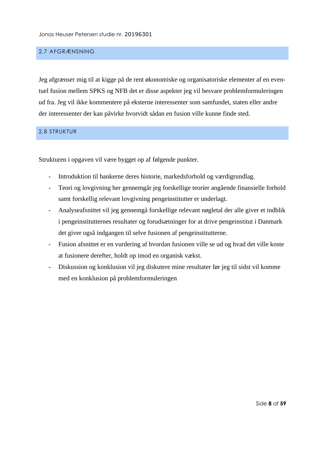#### <span id="page-8-0"></span>2,7 AFGRÆNSNING

Jeg afgrænser mig til at kigge på de rent økonomiske og organisatoriske elementer af en eventuel fusion mellem SPKS og NFB det er disse aspekter jeg vil besvare problemformuleringen ud fra. Jeg vil ikke kommentere på eksterne interessenter som samfundet, staten eller andre der interessenter der kan påvirke hvorvidt sådan en fusion ville kunne finde sted.

#### <span id="page-8-1"></span>2.8 STRUKTUR

Strukturen i opgaven vil være bygget op af følgende punkter.

- Introduktion til bankerne deres historie, markedsforhold og værdigrundlag.
- Teori og lovgivning her gennemgår jeg forskellige teorier angående finansielle forhold samt forskellig relevant lovgivning pengeinstitutter er underlagt.
- Analyseafsnittet vil jeg gennemgå forskellige relevant nøgletal der alle giver et indblik i pengeinstitutternes resultater og forudsætninger for at drive pengeinstitut i Danmark det giver også indgangen til selve fusionen af pengeinstitutterne.
- Fusion afsnittet er en vurdering af hvordan fusionen ville se ud og hvad det ville koste at fusionere derefter, holdt op imod en organisk vækst.
- Diskussion og konklusion vil jeg diskutere mine resultater før jeg til sidst vil komme med en konklusion på problemformuleringen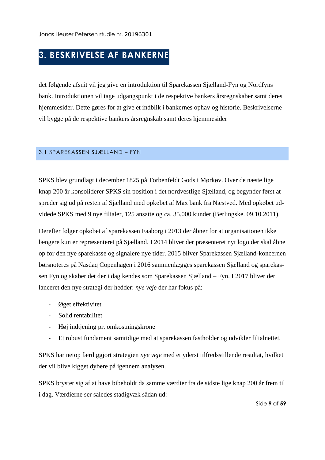# <span id="page-9-0"></span>**3. BESKRIVELSE AF BANKERNE**

det følgende afsnit vil jeg give en introduktion til Sparekassen Sjælland-Fyn og Nordfyns bank. Introduktionen vil tage udgangspunkt i de respektive bankers årsregnskaber samt deres hjemmesider. Dette gøres for at give et indblik i bankernes ophav og historie. Beskrivelserne vil bygge på de respektive bankers årsregnskab samt deres hjemmesider

#### <span id="page-9-1"></span>3.1 SPAREKASSEN SJÆLLAND – FYN

SPKS blev grundlagt i december 1825 på Torbenfeldt Gods i Mørkøv. Over de næste lige knap 200 år konsoliderer SPKS sin position i det nordvestlige Sjælland, og begynder først at spreder sig ud på resten af Sjælland med opkøbet af Max bank fra Næstved. Med opkøbet udvidede SPKS med 9 nye filialer, 125 ansatte og ca. 35.000 kunder (Berlingske. 09.10.2011).

Derefter følger opkøbet af sparekassen Faaborg i 2013 der åbner for at organisationen ikke længere kun er repræsenteret på Sjælland. I 2014 bliver der præsenteret nyt logo der skal åbne op for den nye sparekasse og signalere nye tider. 2015 bliver Sparekassen Sjælland-koncernen børsnoteres på Nasdaq Copenhagen i 2016 sammenlægges sparekassen Sjælland og sparekassen Fyn og skaber det der i dag kendes som Sparekassen Sjælland – Fyn. I 2017 bliver der lanceret den nye strategi der hedder: *nye veje* der har fokus på:

- Øget effektivitet
- Solid rentabilitet
- Høj indtjening pr. omkostningskrone
- Et robust fundament samtidige med at sparekassen fastholder og udvikler filialnettet.

SPKS har netop færdiggjort strategien *nye veje* med et yderst tilfredsstillende resultat, hvilket der vil blive kigget dybere på igennem analysen.

SPKS bryster sig af at have bibeholdt da samme værdier fra de sidste lige knap 200 år frem til i dag. Værdierne ser således stadigvæk sådan ud: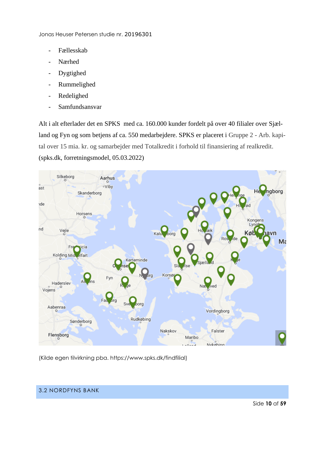- Fællesskab
- Nærhed
- Dygtighed
- Rummelighed
- Redelighed
- Samfundsansvar

Alt i alt efterlader det en SPKS med ca. 160.000 kunder fordelt på over 40 filialer over Sjælland og Fyn og som betjens af ca. 550 medarbejdere. SPKS er placeret i Gruppe 2 - Arb. kapital over 15 mia. kr. og samarbejder med Totalkredit i forhold til finansiering af realkredit. (spks.dk, forretningsmodel, 05.03.2022)



(Kilde egen tilvirkning pba. https://www.spks.dk/findfilial)

#### <span id="page-10-0"></span>3.2 NORDFYNS BANK

Side **10** af **59**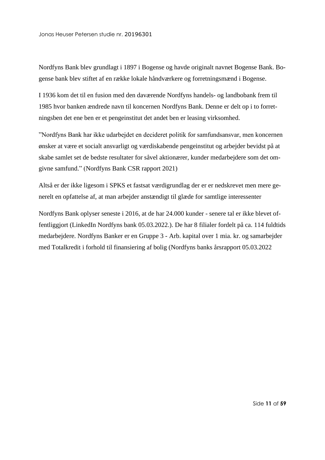Nordfyns Bank blev grundlagt i 1897 i Bogense og havde originalt navnet Bogense Bank. Bogense bank blev stiftet af en række lokale håndværkere og forretningsmænd i Bogense.

I 1936 kom det til en fusion med den daværende Nordfyns handels- og landbobank frem til 1985 hvor banken ændrede navn til koncernen Nordfyns Bank. Denne er delt op i to forretningsben det ene ben er et pengeinstitut det andet ben er leasing virksomhed.

"Nordfyns Bank har ikke udarbejdet en decideret politik for samfundsansvar, men koncernen ønsker at være et socialt ansvarligt og værdiskabende pengeinstitut og arbejder bevidst på at skabe samlet set de bedste resultater for såvel aktionærer, kunder medarbejdere som det omgivne samfund." (Nordfyns Bank CSR rapport 2021)

Altså er der ikke ligesom i SPKS et fastsat værdigrundlag der er er nedskrevet men mere generelt en opfattelse af, at man arbejder anstændigt til glæde for samtlige interessenter

Nordfyns Bank oplyser seneste i 2016, at de har 24.000 kunder - senere tal er ikke blevet offentliggjort (LinkedIn Nordfyns bank 05.03.2022.). De har 8 filialer fordelt på ca. 114 fuldtids medarbejdere. Nordfyns Banker er en Gruppe 3 - Arb. kapital over 1 mia. kr. og samarbejder med Totalkredit i forhold til finansiering af bolig (Nordfyns banks årsrapport 05.03.2022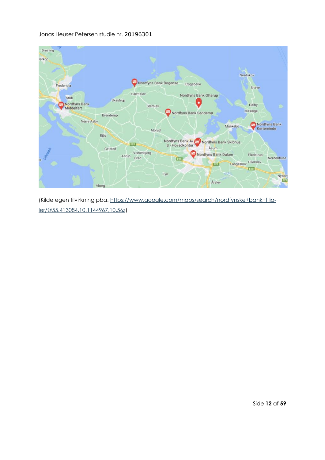

(Kilde egen tilvirkning pba. [https://www.google.com/maps/search/nordfynske+bank+filia](https://www.google.com/maps/search/nordfynske+bank+filialer/@55.413084,10.1144967,10.56z)[ler/@55.413084,10.1144967,10.56z\)](https://www.google.com/maps/search/nordfynske+bank+filialer/@55.413084,10.1144967,10.56z)

Side **12** af **59**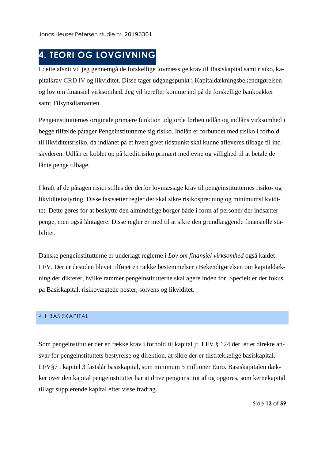# <span id="page-13-0"></span>**4. TEORI OG LOVGIVNING**

I dette afsnit vil jeg gennemgå de forskellige lovmæssige krav til Basiskapital samt risiko, kapitalkrav CRD IV og likviditet. Disse tager udgangspunkt i Kapitaldækningsbekendtgørelsen og lov om finansiel virksomhed. Jeg vil herefter komme ind på de forskellige bankpakker samt Tilsynsdiamanten.

Pengeinstitutternes originale primære funktion udgjorde førhen udlån og indlåns virksomhed i begge tilfælde påtager Pengeinstitutterne sig risiko. Indlån er forbundet med risiko i forhold til likviditetsrisiko, da indlånet på et hvert givet tidspunkt skal kunne afleveres tilbage til indskyderen. Udlån er koblet op på kreditrisiko primært med evne og villighed til at betale de lånte penge tilbage.

I kraft af de påtagen risici stilles der derfor lovmæssige krav til pengeinstitutternes risiko- og likviditetsstyring. Disse fastsætter regler der skal sikre risikospredning og minimumslikviditet. Dette gøres for at beskytte den almindelige borger både i form af personer der indsætter penge, men også låntagere. Disse regler er med til at sikre den grundlæggende finansielle stabilitet.

Danske pengeinstitutterne er underlagt reglerne i *Lov om finansiel virksomhed* også kaldet LFV. Der er desuden blevet tilføjet en række bestemmelser i Bekendtgørelsen om kapitaldækning der dikterer, hvilke rammer pengeinstitutterne skal agere inden for. Specielt er der fokus på Basiskapital, risikovægtede poster, solvens og likviditet.

#### <span id="page-13-1"></span>4.1 BASISKAPITAL

Som pengeinstitut er der en række krav i forhold til kapital jf. LFV § 124 der er et direkte ansvar for pengeinstituttets bestyrelse og direktion, at sikre der er tilstrækkelige basiskapital. LFV§7 i kapitel 3 fastslår basiskapital, som minimum 5 millioner Euro. Basiskapitalen dækker over den kapital pengeinstituttet har at drive pengeinstitut af og opgøres, som kernekapital tillagt supplerende kapital efter visse fradrag.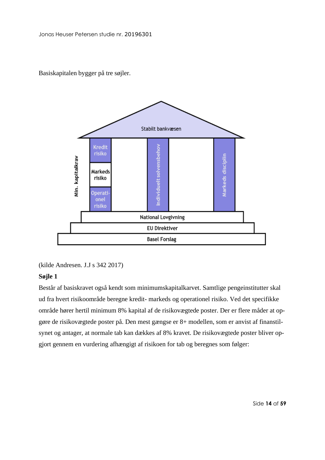Basiskapitalen bygger på tre søjler.



(kilde Andresen. J.J s 342 2017)

#### **Søjle 1**

Består af basiskravet også kendt som minimumskapitalkarvet. Samtlige pengeinstitutter skal ud fra hvert risikoområde beregne kredit- markeds og operationel risiko. Ved det specifikke område hører hertil minimum 8% kapital af de risikovægtede poster. Der er flere måder at opgøre de risikovægtede poster på. Den mest gængse er 8+ modellen, som er anvist af finanstilsynet og antager, at normale tab kan dækkes af 8% kravet. De risikovægtede poster bliver opgjort gennem en vurdering afhængigt af risikoen for tab og beregnes som følger:

Side **14** af **59**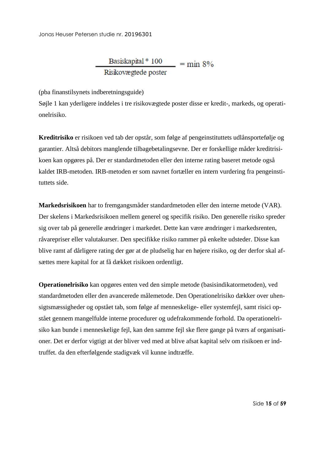$$
\frac{\text{Basiskapital}^* \cdot 100}{\text{Riskovægtede poster}} = \min 8\%
$$

(pba finanstilsynets indberetningsguide)

Søjle 1 kan yderligere inddeles i tre risikovægtede poster disse er kredit-, markeds, og operationelrisiko.

**Kreditrisiko** er risikoen ved tab der opstår, som følge af pengeinstituttets udlånsportefølje og garantier. Altså debitors manglende tilbagebetalingsevne. Der er forskellige måder kreditrisikoen kan opgøres på. Der er standardmetoden eller den interne rating baseret metode også kaldet IRB-metoden. IRB-metoden er som navnet fortæller en intern vurdering fra pengeinstituttets side.

**Markedsrisikoen** har to fremgangsmåder standardmetoden eller den interne metode (VAR). Der skelens i Markedsrisikoen mellem generel og specifik risiko. Den generelle risiko spreder sig over tab på generelle ændringer i markedet. Dette kan være ændringer i markedsrenten, råvarepriser eller valutakurser. Den specifikke risiko rammer på enkelte udsteder. Disse kan blive ramt af dårligere rating der gør at de pludselig har en højere risiko, og der derfor skal afsættes mere kapital for at få dækket risikoen ordentligt.

**Operationelrisiko** kan opgøres enten ved den simple metode (basisindikatormetoden), ved standardmetoden eller den avancerede målemetode. Den Operationelrisiko dækker over uhensigtsmæssigheder og opstået tab, som følge af menneskelige- eller systemfejl, samt risici opstået gennem mangelfulde interne procedurer og udefrakommende forhold. Da operationelrisiko kan bunde i menneskelige fejl, kan den samme fejl ske flere gange på tværs af organisationer. Det er derfor vigtigt at der bliver ved med at blive afsat kapital selv om risikoen er indtruffet. da den efterfølgende stadigvæk vil kunne indtræffe.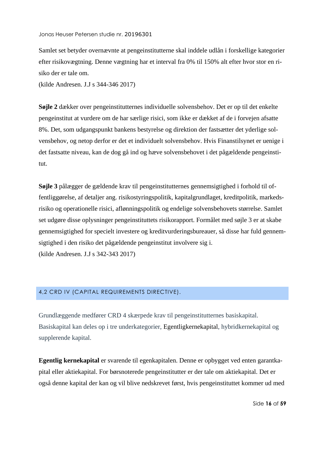Samlet set betyder overnævnte at pengeinstitutterne skal inddele udlån i forskellige kategorier efter risikovægtning. Denne vægtning har et interval fra 0% til 150% alt efter hvor stor en risiko der er tale om.

(kilde Andresen. J.J s 344-346 2017)

**Søjle 2** dækker over pengeinstitutternes individuelle solvensbehov. Det er op til det enkelte pengeinstitut at vurdere om de har særlige risici, som ikke er dækket af de i forvejen afsatte 8%. Det, som udgangspunkt bankens bestyrelse og direktion der fastsætter det yderlige solvensbehov, og netop derfor er det et individuelt solvensbehov. Hvis Finanstilsynet er uenige i det fastsatte niveau, kan de dog gå ind og hæve solvensbehovet i det pågældende pengeinstitut.

**Søjle 3** pålægger de gældende krav til pengeinstitutternes gennemsigtighed i forhold til offentliggørelse, af detaljer ang. risikostyringspolitik, kapitalgrundlaget, kreditpolitik, markedsrisiko og operationelle risici, aflønningspolitik og endelige solvensbehovets størrelse. Samlet set udgøre disse oplysninger pengeinstituttets risikorapport. Formålet med søjle 3 er at skabe gennemsigtighed for specielt investere og kreditvurderingsbureauer, så disse har fuld gennemsigtighed i den risiko det pågældende pengeinstitut involvere sig i. (kilde Andresen. J.J s 342-343 2017)

#### <span id="page-16-0"></span>4,2 CRD IV (CAPITAL REQUIREMENTS DIRECTIVE).

Grundlæggende medfører CRD 4 skærpede krav til pengeinstitutternes basiskapital. Basiskapital kan deles op i tre underkategorier, Egentligkernekapital, hybridkernekapital og supplerende kapital.

**Egentlig kernekapital** er svarende til egenkapitalen. Denne er opbygget ved enten garantkapital eller aktiekapital. For børsnoterede pengeinstitutter er der tale om aktiekapital. Det er også denne kapital der kan og vil blive nedskrevet først, hvis pengeinstituttet kommer ud med

Side **16** af **59**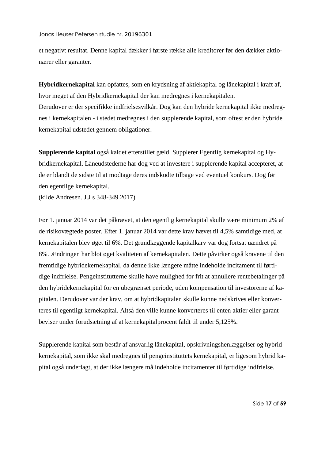et negativt resultat. Denne kapital dækker i første række alle kreditorer før den dækker aktionærer eller garanter.

**Hybridkernekapital** kan opfattes, som en krydsning af aktiekapital og lånekapital i kraft af, hvor meget af den Hybridkernekapital der kan medregnes i kernekapitalen. Derudover er der specifikke indfrielsesvilkår. Dog kan den hybride kernekapital ikke medregnes i kernekapitalen - i stedet medregnes i den supplerende kapital, som oftest er den hybride kernekapital udstedet gennem obligationer.

**Supplerende kapital** også kaldet efterstillet gæld. Supplerer Egentlig kernekapital og Hybridkernekapital. Låneudstederne har dog ved at investere i supplerende kapital accepteret, at de er blandt de sidste til at modtage deres indskudte tilbage ved eventuel konkurs. Dog før den egentlige kernekapital.

(kilde Andresen. J.J s 348-349 2017)

Før 1. januar 2014 var det påkrævet, at den egentlig kernekapital skulle være minimum 2% af de risikovægtede poster. Efter 1. januar 2014 var dette krav hævet til 4,5% samtidige med, at kernekapitalen blev øget til 6%. Det grundlæggende kapitalkarv var dog fortsat uændret på 8%. Ændringen har blot øget kvaliteten af kernekapitalen. Dette påvirker også kravene til den fremtidige hybridekernekapital, da denne ikke længere måtte indeholde incitament til førtidige indfrielse. Pengeinstitutterne skulle have mulighed for frit at annullere rentebetalinger på den hybridekernekapital for en ubegrænset periode, uden kompensation til investorerne af kapitalen. Derudover var der krav, om at hybridkapitalen skulle kunne nedskrives eller konverteres til egentligt kernekapital. Altså den ville kunne konverteres til enten aktier eller garantbeviser under forudsætning af at kernekapitalprocent faldt til under 5,125%.

Supplerende kapital som består af ansvarlig lånekapital, opskrivningshenlæggelser og hybrid kernekapital, som ikke skal medregnes til pengeinstituttets kernekapital, er ligesom hybrid kapital også underlagt, at der ikke længere må indeholde incitamenter til førtidige indfrielse.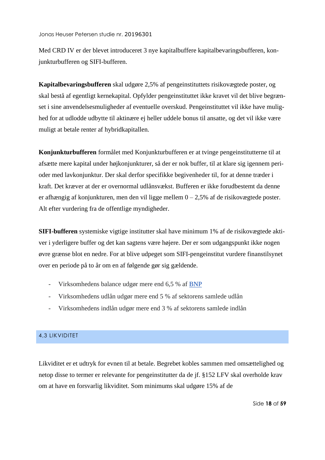Med CRD IV er der blevet introduceret 3 nye kapitalbuffere kapitalbevaringsbufferen, konjunkturbufferen og SIFI-bufferen.

**Kapitalbevaringsbufferen** skal udgøre 2,5% af pengeinstituttets risikovægtede poster, og skal bestå af egentligt kernekapital. Opfylder pengeinstituttet ikke kravet vil det blive begrænset i sine anvendelsesmuligheder af eventuelle overskud. Pengeinstituttet vil ikke have mulighed for at udlodde udbytte til aktinære ej heller uddele bonus til ansatte, og det vil ikke være muligt at betale renter af hybridkapitallen.

**Konjunkturbufferen** formålet med Konjunkturbufferen er at tvinge pengeinstitutterne til at afsætte mere kapital under højkonjunkturer, så der er nok buffer, til at klare sig igennem perioder med lavkonjunktur. Der skal derfor specifikke begivenheder til, for at denne træder i kraft. Det kræver at der er overnormal udlånsvækst. Bufferen er ikke forudbestemt da denne er afhængig af konjunkturen, men den vil ligge mellem 0 – 2,5% af de risikovægtede poster. Alt efter vurdering fra de offentlige myndigheder.

**SIFI-bufferen** systemiske vigtige institutter skal have minimum 1% af de risikovægtede aktiver i yderligere buffer og det kan sagtens være højere. Der er som udgangspunkt ikke nogen øvre grænse blot en nedre. For at blive udpeget som SIFI-pengeinstitut vurdere finanstilsynet over en periode på to år om en af følgende gør sig gældende.

- Virksomhedens balance udgør mere end 6,5 % af [BNP](https://da.wikipedia.org/wiki/BNP)
- Virksomhedens udlån udgør mere end 5 % af sektorens samlede udlån
- Virksomhedens indlån udgør mere end 3 % af sektorens samlede indlån

#### <span id="page-18-0"></span>4,3 LIKVIDITET

Likviditet er et udtryk for evnen til at betale. Begrebet kobles sammen med omsættelighed og netop disse to termer er relevante for pengeinstitutter da de jf. §152 LFV skal overholde krav om at have en forsvarlig likviditet. Som minimums skal udgøre 15% af de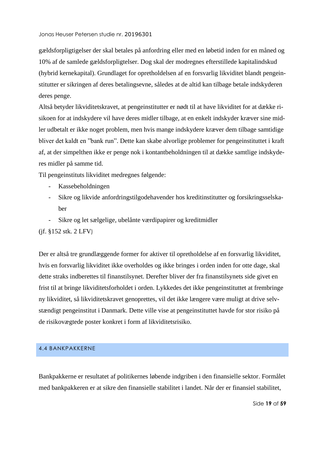gældsforpligtigelser der skal betales på anfordring eller med en løbetid inden for en måned og 10% af de samlede gældsforpligtelser. Dog skal der modregnes efterstillede kapitalindskud (hybrid kernekapital). Grundlaget for opretholdelsen af en forsvarlig likviditet blandt pengeinstitutter er sikringen af deres betalingsevne, således at de altid kan tilbage betale indskyderen deres penge.

Altså betyder likviditetskravet, at pengeinstitutter er nødt til at have likviditet for at dække risikoen for at indskydere vil have deres midler tilbage, at en enkelt indskyder kræver sine midler udbetalt er ikke noget problem, men hvis mange indskydere kræver dem tilbage samtidige bliver det kaldt en "bank run". Dette kan skabe alvorlige problemer for pengeinstituttet i kraft af, at der simpelthen ikke er penge nok i kontantbeholdningen til at dække samtlige indskyderes midler på samme tid.

Til pengeinstituts likviditet medregnes følgende:

- Kassebeholdningen
- Sikre og likvide anfordringstilgodehavender hos kreditinstitutter og forsikringsselskaber
- Sikre og let sælgelige, ubelånte værdipapirer og kreditmidler

#### (jf. §152 stk. 2 LFV)

Der er altså tre grundlæggende former for aktiver til opretholdelse af en forsvarlig likviditet, hvis en forsvarlig likviditet ikke overholdes og ikke bringes i orden inden for otte dage, skal dette straks indberettes til finanstilsynet. Derefter bliver der fra finanstilsynets side givet en frist til at bringe likviditetsforholdet i orden. Lykkedes det ikke pengeinstituttet at frembringe ny likviditet, så likviditetskravet genoprettes, vil det ikke længere være muligt at drive selvstændigt pengeinstitut i Danmark. Dette ville vise at pengeinstituttet havde for stor risiko på de risikovægtede poster konkret i form af likviditetsrisiko.

#### <span id="page-19-0"></span>4.4 BANKPAKKERNE

Bankpakkerne er resultatet af politikernes løbende indgriben i den finansielle sektor. Formålet med bankpakkeren er at sikre den finansielle stabilitet i landet. Når der er finansiel stabilitet,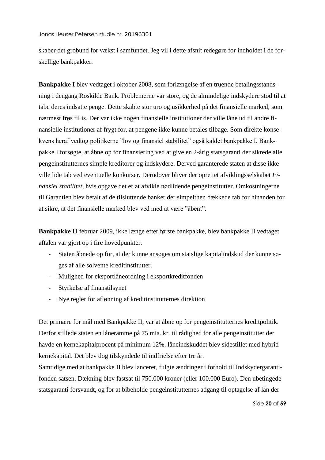skaber det grobund for vækst i samfundet. Jeg vil i dette afsnit redegøre for indholdet i de forskellige bankpakker.

**Bankpakke I** blev vedtaget i oktober 2008, som forlængelse af en truende betalingsstandsning i dengang Roskilde Bank. Problemerne var store, og de almindelige indskydere stod til at tabe deres indsatte penge. Dette skabte stor uro og usikkerhed på det finansielle marked, som nærmest frøs til is. Der var ikke nogen finansielle institutioner der ville låne ud til andre finansielle institutioner af frygt for, at pengene ikke kunne betales tilbage. Som direkte konsekvens heraf vedtog politikerne "lov og finansiel stabilitet" også kaldet bankpakke I. Bankpakke I forsøgte, at åbne op for finansiering ved at give en 2-årig statsgaranti der sikrede alle pengeinstitutternes simple kreditorer og indskydere. Derved garanterede staten at disse ikke ville lide tab ved eventuelle konkurser. Derudover bliver der oprettet afviklingsselskabet *Finansiel stabilitet*, hvis opgave det er at afvikle nødlidende pengeinstitutter. Omkostningerne til Garantien blev betalt af de tilsluttende banker der simpelthen dækkede tab for hinanden for at sikre, at det finansielle marked blev ved med at være "åbent".

**Bankpakke II** februar 2009, ikke længe efter første bankpakke, blev bankpakke II vedtaget aftalen var gjort op i fire hovedpunkter.

- Staten åbnede op for, at der kunne ansøges om statslige kapitalindskud der kunne søges af alle solvente kreditinstitutter.
- Mulighed for eksportlåneordning i eksportkreditfonden
- Styrkelse af finanstilsynet
- Nye regler for aflønning af kreditinstitutternes direktion

Det primære for mål med Bankpakke II, var at åbne op for pengeinstitutternes kreditpolitik. Derfor stillede staten en låneramme på 75 mia. kr. til rådighed for alle pengeinstitutter der havde en kernekapitalprocent på minimum 12%. låneindskuddet blev sidestillet med hybrid kernekapital. Det blev dog tilskyndede til indfrielse efter tre år.

Samtidige med at bankpakke II blev lanceret, fulgte ændringer i forhold til Indskydergarantifonden satsen. Dækning blev fastsat til 750.000 kroner (eller 100.000 Euro). Den ubetingede statsgaranti forsvandt, og for at bibeholde pengeinstitutternes adgang til optagelse af lån der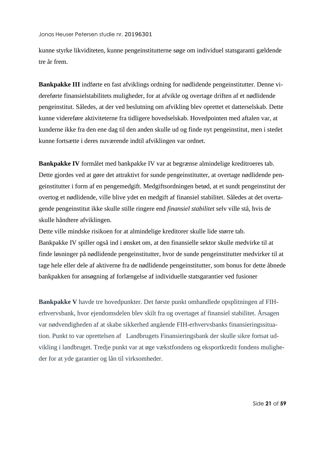kunne styrke likviditeten, kunne pengeinstitutterne søge om individuel statsgaranti gældende tre år frem.

**Bankpakke III** indførte en fast afviklings ordning for nødlidende pengeinstitutter. Denne videreførte finansielstabilitets muligheder, for at afvikle og overtage driften af et nødlidende pengeinstitut. Således, at der ved beslutning om afvikling blev oprettet et datterselskab. Dette kunne videreføre aktiviteterne fra tidligere hovedselskab. Hovedpointen med aftalen var, at kunderne ikke fra den ene dag til den anden skulle ud og finde nyt pengeinstitut, men i stedet kunne fortsætte i deres nuværende indtil afviklingen var ordnet.

**Bankpakke IV** formålet med bankpakke IV var at begrænse almindelige kreditroeres tab. Dette gjordes ved at gøre det attraktivt for sunde pengeinstitutter, at overtage nødlidende pengeinstitutter i form af en pengemedgift. Medgiftsordningen betød, at et sundt pengeinstitut der overtog et nødlidende, ville blive ydet en medgift af finansiel stabilitet. Således at det overtagende pengeinstitut ikke skulle stille ringere end *finansiel stabilitet* selv ville stå, hvis de skulle håndtere afviklingen.

Dette ville mindske risikoen for at almindelige kreditorer skulle lide større tab. Bankpakke IV spiller også ind i ønsket om, at den finansielle sektor skulle medvirke til at finde løsninger på nødlidende pengeinstitutter, hvor de sunde pengeinstitutter medvirker til at tage hele eller dele af aktiverne fra de nødlidende pengeinstitutter, som bonus for dette åbnede bankpakken for ansøgning af forlængelse af individuelle statsgarantier ved fusioner

**Bankpakke V** havde tre hovedpunkter. Det første punkt omhandlede opsplitningen af FIHerhvervsbank, hvor ejendomsdelen blev skilt fra og overtaget af finansiel stabilitet. Årsagen var nødvendigheden af at skabe sikkerhed angående FIH-erhvervsbanks finansieringssituation. Punkt to var oprettelsen af Landbrugets Finansieringsbank der skulle sikre fortsat udvikling i landbruget. Tredje punkt var at øge vækstfondens og eksportkredit fondens muligheder for at yde garantier og lån til virksomheder.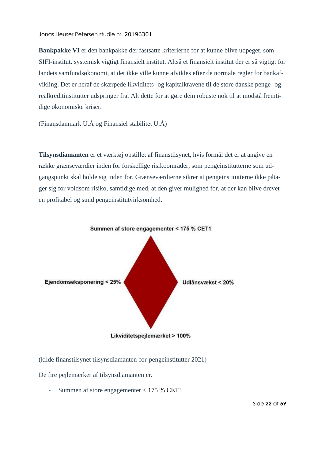**Bankpakke VI** er den bankpakke der fastsatte kriterierne for at kunne blive udpeget, som SIFI-institut. systemisk vigtigt finansielt institut. Altså et finansielt institut der er så vigtigt for landets samfundsøkonomi, at det ikke ville kunne afvikles efter de normale regler for bankafvikling. Det er heraf de skærpede likviditets- og kapitalkravene til de store danske penge- og realkreditinstitutter udspringer fra. Alt dette for at gøre dem robuste nok til at modstå fremtidige økonomiske kriser.

(Finansdanmark U.Å og Finansiel stabilitet U.Å)

**Tilsynsdiamanten** er et værktøj opstillet af finanstilsynet, hvis formål det er at angive en række grænseværdier inden for forskellige risikoområder, som pengeinstitutterne som udgangspunkt skal holde sig inden for. Grænseværdierne sikrer at pengeinstitutterne ikke påtager sig for voldsom risiko, samtidige med, at den giver mulighed for, at der kan blive drevet en profitabel og sund pengeinstitutvirksomhed.



(kilde finanstilsynet tilsynsdiamanten-for-pengeinstitutter 2021)

De fire pejlemærker af tilsynsdiamanten er.

- Summen af store engagementer < 175 % CET!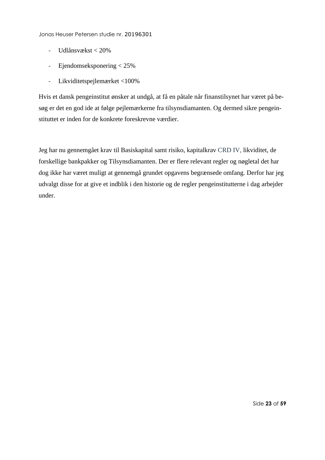- Udlånsvækst < 20%
- Ejendomseksponering < 25%
- Likviditetspejlemærket <100%

Hvis et dansk pengeinstitut ønsker at undgå, at få en påtale når finanstilsynet har været på besøg er det en god ide at følge pejlemærkerne fra tilsynsdiamanten. Og dermed sikre pengeinstituttet er inden for de konkrete foreskrevne værdier.

Jeg har nu gennemgået krav til Basiskapital samt risiko, kapitalkrav CRD IV, likviditet, de forskellige bankpakker og Tilsynsdiamanten. Der er flere relevant regler og nøgletal det har dog ikke har været muligt at gennemgå grundet opgavens begrænsede omfang. Derfor har jeg udvalgt disse for at give et indblik i den historie og de regler pengeinstitutterne i dag arbejder under.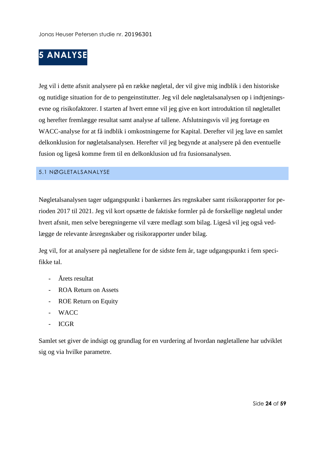# <span id="page-24-0"></span>**5 ANALYSE**

Jeg vil i dette afsnit analysere på en række nøgletal, der vil give mig indblik i den historiske og nutidige situation for de to pengeinstitutter. Jeg vil dele nøgletalsanalysen op i indtjeningsevne og risikofaktorer. I starten af hvert emne vil jeg give en kort introduktion til nøgletallet og herefter fremlægge resultat samt analyse af tallene. Afslutningsvis vil jeg foretage en WACC-analyse for at få indblik i omkostningerne for Kapital. Derefter vil jeg lave en samlet delkonklusion for nøgletalsanalysen. Herefter vil jeg begynde at analysere på den eventuelle fusion og ligeså komme frem til en delkonklusion ud fra fusionsanalysen.

#### <span id="page-24-1"></span>5.1 NØGLETALSANALYSE

Nøgletalsanalysen tager udgangspunkt i bankernes års regnskaber samt risikorapporter for perioden 2017 til 2021. Jeg vil kort opsætte de faktiske formler på de forskellige nøgletal under hvert afsnit, men selve beregningerne vil være medlagt som bilag. Ligeså vil jeg også vedlægge de relevante årsregnskaber og risikorapporter under bilag.

Jeg vil, for at analysere på nøgletallene for de sidste fem år, tage udgangspunkt i fem specifikke tal.

- Årets resultat
- ROA Return on Assets
- ROE Return on Equity
- WACC
- ICGR

Samlet set giver de indsigt og grundlag for en vurdering af hvordan nøgletallene har udviklet sig og via hvilke parametre.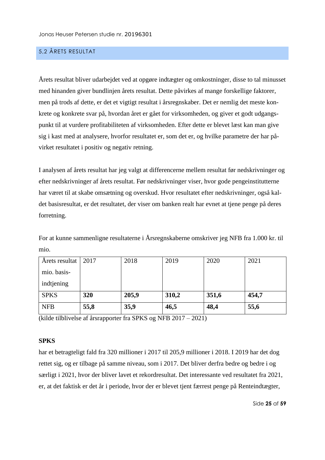#### <span id="page-25-0"></span>5,2 ÅRETS RESULTAT

Årets resultat bliver udarbejdet ved at opgøre indtægter og omkostninger, disse to tal minusset med hinanden giver bundlinjen årets resultat. Dette påvirkes af mange forskellige faktorer, men på trods af dette, er det et vigtigt resultat i årsregnskaber. Det er nemlig det meste konkrete og konkrete svar på, hvordan året er gået for virksomheden, og giver et godt udgangspunkt til at vurdere profitabiliteten af virksomheden. Efter dette er blevet læst kan man give sig i kast med at analysere, hvorfor resultatet er, som det er, og hvilke parametre der har påvirket resultatet i positiv og negativ retning.

I analysen af årets resultat har jeg valgt at differencerne mellem resultat før nedskrivninger og efter nedskrivninger af årets resultat. Før nedskrivninger viser, hvor gode pengeinstitutterne har været til at skabe omsætning og overskud. Hvor resultatet efter nedskrivninger, også kaldet basisresultat, er det resultatet, der viser om banken realt har evnet at tjene penge på deres forretning.

For at kunne sammenligne resultaterne i Årsregnskaberne omskriver jeg NFB fra 1.000 kr. til mio.

| Årets resultat | 2017 | 2018  | 2019  | 2020  | 2021  |
|----------------|------|-------|-------|-------|-------|
| mio. basis-    |      |       |       |       |       |
| indtjening     |      |       |       |       |       |
| <b>SPKS</b>    | 320  | 205,9 | 310,2 | 351,6 | 454,7 |
| <b>NFB</b>     | 55,8 | 35,9  | 46,5  | 48,4  | 55,6  |

(kilde tilblivelse af årsrapporter fra SPKS og NFB 2017 – 2021)

#### **SPKS**

har et betragteligt fald fra 320 millioner i 2017 til 205,9 millioner i 2018. I 2019 har det dog rettet sig, og er tilbage på samme niveau, som i 2017. Det bliver derfra bedre og bedre i og særligt i 2021, hvor der bliver lavet et rekordresultat. Det interessante ved resultatet fra 2021, er, at det faktisk er det år i periode, hvor der er blevet tjent færrest penge på Renteindtægter,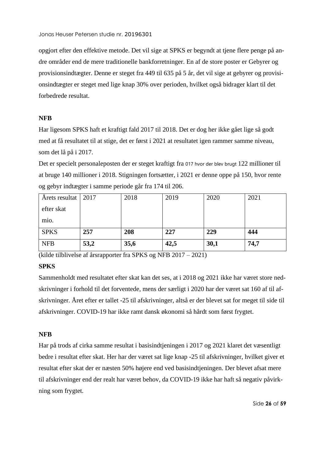opgjort efter den effektive metode. Det vil sige at SPKS er begyndt at tjene flere penge på andre områder end de mere traditionelle bankforretninger. En af de store poster er Gebyrer og provisionsindtægter. Denne er steget fra 449 til 635 på 5 år, det vil sige at gebyrer og provisionsindtægter er steget med lige knap 30% over perioden, hvilket også bidrager klart til det forbedrede resultat.

#### **NFB**

Har ligesom SPKS haft et kraftigt fald 2017 til 2018. Det er dog her ikke gået lige så godt med at få resultatet til at stige, det er først i 2021 at resultatet igen rammer samme niveau, som det lå på i 2017.

Det er specielt personaleposten der er steget kraftigt fra 017 hvor der blev brugt 122 millioner til at bruge 140 millioner i 2018. Stigningen fortsætter, i 2021 er denne oppe på 150, hvor rente og gebyr indtægter i samme periode går fra 174 til 206.

| Årets resultat | 2017 | 2018 | 2019 | 2020 | 2021 |
|----------------|------|------|------|------|------|
| efter skat     |      |      |      |      |      |
| mio.           |      |      |      |      |      |
| <b>SPKS</b>    | 257  | 208  | 227  | 229  | 444  |
| <b>NFB</b>     | 53,2 | 35,6 | 42,5 | 30,1 | 74,7 |

(kilde tilblivelse af årsrapporter fra SPKS og NFB 2017 – 2021)

#### **SPKS**

Sammenholdt med resultatet efter skat kan det ses, at i 2018 og 2021 ikke har været store nedskrivninger i forhold til det forventede, mens der særligt i 2020 har der været sat 160 af til afskrivninger. Året efter er tallet -25 til afskrivninger, altså er der blevet sat for meget til side til afskrivninger. COVID-19 har ikke ramt dansk økonomi så hårdt som først frygtet.

#### **NFB**

Har på trods af cirka samme resultat i basisindtjeningen i 2017 og 2021 klaret det væsentligt bedre i resultat efter skat. Her har der været sat lige knap -25 til afskrivninger, hvilket giver et resultat efter skat der er næsten 50% højere end ved basisindtjeningen. Der blevet afsat mere til afskrivninger end der realt har været behov, da COVID-19 ikke har haft så negativ påvirkning som frygtet.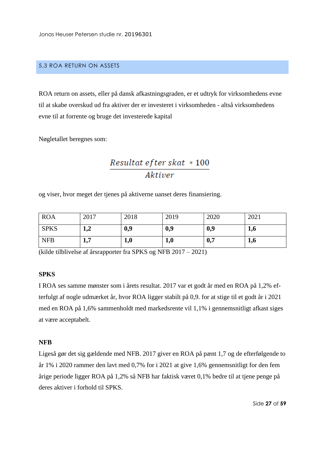#### <span id="page-27-0"></span>5,3 ROA RETURN ON ASSETS

ROA return on assets, eller på dansk afkastningsgraden, er et udtryk for virksomhedens evne til at skabe overskud ud fra aktiver der er investeret i virksomheden - altså virksomhedens evne til at forrente og bruge det investerede kapital

Nøgletallet beregnes som:

### $\label{eq:resultate} Result at~efter~skat~*~100$ Aktiver

og viser, hvor meget der tjenes på aktiverne uanset deres finansiering.

| <b>ROA</b>  | 2017                   | 2018 | 2019 | 2020 | 2021 |
|-------------|------------------------|------|------|------|------|
| <b>SPKS</b> | $\gamma$<br>⊥,∠        | 0,9  | 0,9  | 0,9  | 1,6  |
| <b>NFB</b>  | $\overline{ }$<br>л, і | 1,0  | 1,0  | 0,7  | 1,6  |

(kilde tilblivelse af årsrapporter fra SPKS og NFB 2017 – 2021)

#### **SPKS**

I ROA ses samme mønster som i årets resultat. 2017 var et godt år med en ROA på 1,2% efterfulgt af nogle udmærket år, hvor ROA ligger stabilt på 0,9. for at stige til et godt år i 2021 med en ROA på 1,6% sammenholdt med markedsrente vil 1,1% i gennemsnitligt afkast siges at være acceptabelt.

#### **NFB**

Ligeså gør det sig gældende med NFB. 2017 giver en ROA på pænt 1,7 og de efterfølgende to år 1% i 2020 rammer den lavt med 0,7% for i 2021 at give 1,6% gennemsnitligt for den fem årige periode ligger ROA på 1,2% så NFB har faktisk været 0,1% bedre til at tjene penge på deres aktiver i forhold til SPKS.

Side **27** af **59**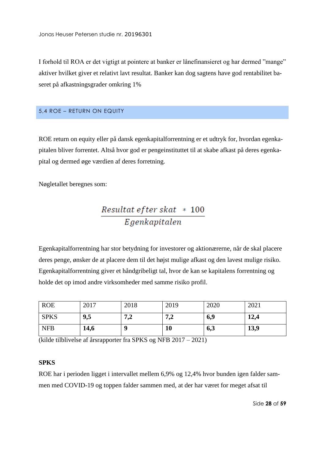I forhold til ROA er det vigtigt at pointere at banker er lånefinansieret og har dermed "mange" aktiver hvilket giver et relativt lavt resultat. Banker kan dog sagtens have god rentabilitet baseret på afkastningsgrader omkring 1%

#### <span id="page-28-0"></span>5,4 ROE – RETURN ON EQUITY

ROE return on equity eller på dansk egenkapitalforrentning er et udtryk for, hvordan egenkapitalen bliver forrentet. Altså hvor god er pengeinstituttet til at skabe afkast på deres egenkapital og dermed øge værdien af deres forretning.

Nøgletallet beregnes som:

## Resultat efter skat \* 100 Egenkapitalen

Egenkapitalforrentning har stor betydning for investorer og aktionærerne, når de skal placere deres penge, ønsker de at placere dem til det højst mulige afkast og den lavest mulige risiko. Egenkapitalforrentning giver et håndgribeligt tal, hvor de kan se kapitalens forrentning og holde det op imod andre virksomheder med samme risiko profil.

| <b>ROE</b>  | 2017 | 2018       | 2019       | 2020 | 2021 |
|-------------|------|------------|------------|------|------|
| <b>SPKS</b> | 9,5  | 72<br>يھ ر | 72<br>صو م | 6,9  | 12,4 |
| <b>NFB</b>  | 14,6 | q          | 10         | 6,3  | 13,9 |

(kilde tilblivelse af årsrapporter fra SPKS og NFB 2017 – 2021)

#### **SPKS**

ROE har i perioden ligget i intervallet mellem 6,9% og 12,4% hvor bunden igen falder sammen med COVID-19 og toppen falder sammen med, at der har været for meget afsat til

Side **28** af **59**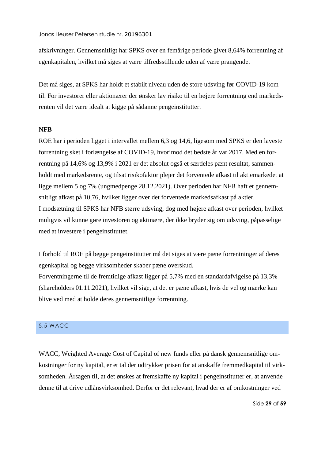afskrivninger. Gennemsnitligt har SPKS over en femårige periode givet 8,64% forrentning af egenkapitalen, hvilket må siges at være tilfredsstillende uden af være prangende.

Det må siges, at SPKS har holdt et stabilt niveau uden de store udsving før COVID-19 kom til. For investorer eller aktionærer der ønsker lav risiko til en højere forrentning end markedsrenten vil det være idealt at kigge på sådanne pengeinstitutter.

#### **NFB**

ROE har i perioden ligget i intervallet mellem 6,3 og 14,6, ligesom med SPKS er den laveste forrentning sket i forlængelse af COVID-19, hvorimod det bedste år var 2017. Med en forrentning på 14,6% og 13,9% i 2021 er det absolut også et særdeles pænt resultat, sammenholdt med markedsrente, og tilsat risikofaktor plejer det forventede afkast til aktiemarkedet at ligge mellem 5 og 7% (ungmedpenge 28.12.2021). Over perioden har NFB haft et gennemsnitligt afkast på 10,76, hvilket ligger over det forventede markedsafkast på aktier. I modsætning til SPKS har NFB større udsving, dog med højere afkast over perioden, hvilket muligvis vil kunne gøre investoren og aktinære, der ikke bryder sig om udsving, påpasselige med at investere i pengeinstituttet.

I forhold til ROE på begge pengeinstitutter må det siges at være pæne forrentninger af deres egenkapital og begge virksomheder skaber pæne overskud.

Forventningerne til de fremtidige afkast ligger på 5,7% med en standardafvigelse på 13,3% (shareholders 01.11.2021), hvilket vil sige, at det er pæne afkast, hvis de vel og mærke kan blive ved med at holde deres gennemsnitlige forrentning.

#### <span id="page-29-0"></span>5,5 WACC

WACC, Weighted Average Cost of Capital of new funds eller på dansk gennemsnitlige omkostninger for ny kapital, er et tal der udtrykker prisen for at anskaffe fremmedkapital til virksomheden. Årsagen til, at det ønskes at fremskaffe ny kapital i pengeinstitutter er, at anvende denne til at drive udlånsvirksomhed. Derfor er det relevant, hvad der er af omkostninger ved

Side **29** af **59**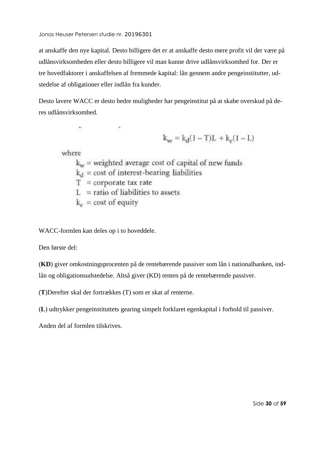at anskaffe den nye kapital. Desto billigere det er at anskaffe desto mere profit vil der være på udlånsvirksomheden eller desto billigere vil man kunne drive udlånsvirksomhed for. Der er tre hovedfaktorer i anskaffelsen af fremmede kapital: lån gennem andre pengeinstitutter, udstedelse af obligationer eller indlån fra kunder.

Desto lavere WACC er desto bedre muligheder har pengeinstitut på at skabe overskud på deres udlånsvirksomhed.

$$
k_w = k_d(1 - T)L + k_e(1 - L)
$$

where

 $k_w$  = weighted average cost of capital of new funds  $k_d$  = cost of interest-bearing liabilities  $T =$  corporate tax rate  $L =$  ratio of liabilities to assets  $k_e$  = cost of equity

WACC-formlen kan deles op i to hoveddele.

Den første del:

(**KD**) giver omkostningsprocenten på de rentebærende passiver som lån i nationalbanken, indlån og obligationsudstedelse. Altså giver (KD) renten på de rentebærende passiver.

(**T**)Derefter skal der fortrækkes (T) som er skat af renterne.

(**L**) udtrykker pengeinstituttets gearing simpelt forklaret egenkapital i forhold til passiver.

Anden del af formlen tilskrives.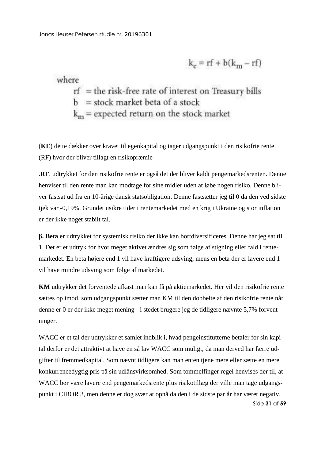$$
k_e = rf + b(k_m - rf)
$$

where

 $rf$  = the risk-free rate of interest on Treasury bills  $b = stock$  market beta of a stock  $k_m$  = expected return on the stock market

(**KE**) dette dækker over kravet til egenkapital og tager udgangspunkt i den risikofrie rente (RF) hvor der bliver tillagt en risikopræmie

.**RF**. udtrykket for den risikofrie rente er også det der bliver kaldt pengemarkedsrenten. Denne henviser til den rente man kan modtage for sine midler uden at løbe nogen risiko. Denne bliver fastsat ud fra en 10-årige dansk statsobligation. Denne fastsætter jeg til 0 da den ved sidste tjek var -0,19%. Grundet usikre tider i rentemarkedet med en krig i Ukraine og stor inflation er der ikke noget stabilt tal.

**β. Beta** er udtrykket for systemisk risiko der ikke kan bortdiversificeres. Denne har jeg sat til 1. Det er et udtryk for hvor meget aktivet ændres sig som følge af stigning eller fald i rentemarkedet. En beta højere end 1 vil have kraftigere udsving, mens en beta der er lavere end 1 vil have mindre udsving som følge af markedet.

**KM** udtrykker det forventede afkast man kan få på aktiemarkedet. Her vil den risikofrie rente sættes op imod, som udgangspunkt sætter man KM til den dobbelte af den risikofrie rente når denne er 0 er der ikke meget mening - i stedet brugere jeg de tidligere nævnte 5,7% forventninger.

Side **31** af **59** WACC er et tal der udtrykker et samlet indblik i, hvad pengeinstitutterne betaler for sin kapital derfor er det attraktivt at have en så lav WACC som muligt, da man derved har færre udgifter til fremmedkapital. Som nævnt tidligere kan man enten tjene mere eller sætte en mere konkurrencedygtig pris på sin udlånsvirksomhed. Som tommelfinger regel henvises der til, at WACC bør være lavere end pengemarkedsrente plus risikotillæg der ville man tage udgangspunkt i CIBOR 3, men denne er dog svær at opnå da den i de sidste par år har været negativ.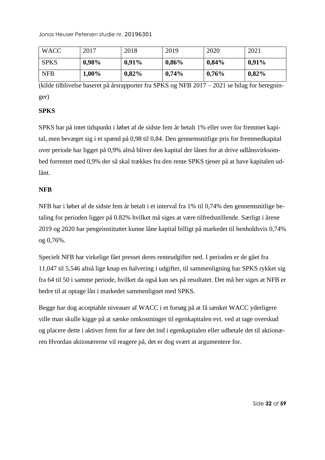| <b>WACC</b> | 2017     | 2018     | 2019     | 2020     | 2021     |
|-------------|----------|----------|----------|----------|----------|
| <b>SPKS</b> | $0,98\%$ | 0,91%    | 0,86%    | $0,84\%$ | $0,91\%$ |
| <b>NFB</b>  | 1,00%    | $0,82\%$ | $0,74\%$ | 0,76%    | $0,82\%$ |

(kilde tilblivelse baseret på årsrapporter fra SPKS og NFB 2017 – 2021 se bilag for beregninger)

#### **SPKS**

SPKS har på intet tidspunkt i løbet af de sidste fem år betalt 1% eller over for fremmet kapital, men bevæget sig i et spænd på 0,98 til 0,84. Den gennemsnitlige pris for fremmedkapital over periode har ligget på 0,9% altså bliver den kapital der lånes for at drive udlånsvirksomhed forrentet med 0,9% der så skal trækkes fra den rente SPKS tjener på at have kapitalen udlånt.

#### **NFB**

NFB har i løbet af de sidste fem år betalt i et interval fra 1% til 0,74% den gennemsnitlige betaling for perioden ligger på 0.82% hvilket må siges at være tilfredsstillende. Særligt i årene 2019 og 2020 har pengeinstituttet kunne låne kapital billigt på markedet til henholdsvis 0,74% og 0,76%.

Specielt NFB har virkelige fået presset deres renteudgifter ned. I perioden er de gået fra 11,047 til 5,546 altså lige knap en halvering i udgifter, til sammenligning har SPKS rykket sig fra 64 til 50 i samme periode, hvilket da også kan ses på resultatet. Det må her siges at NFB er bedre til at optage lån i markedet sammenlignet med SPKS.

Begge har dog acceptable niveauer af WACC i et forsøg på at få sænket WACC yderligere ville man skulle kigge på at sænke omkostninger til egenkapitalen evt. ved at tage overskud og placere dette i aktiver frem for at føre det ind i egenkapitalen eller udbetale det til aktionæren Hvordan aktionærerne vil reagere på, det er dog svært at argumentere for.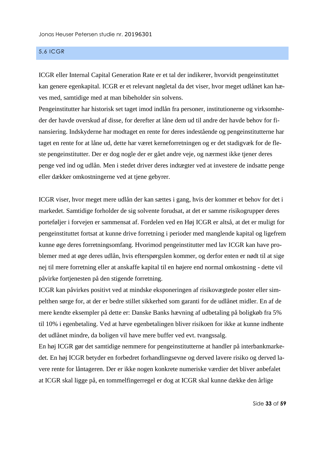#### <span id="page-33-0"></span>5,6 ICGR

ICGR eller Internal Capital Generation Rate er et tal der indikerer, hvorvidt pengeinstituttet kan genere egenkapital. ICGR er et relevant nøgletal da det viser, hvor meget udlånet kan hæves med, samtidige med at man bibeholder sin solvens.

Pengeinstitutter har historisk set taget imod indlån fra personer, institutionerne og virksomheder der havde overskud af disse, for derefter at låne dem ud til andre der havde behov for finansiering. Indskyderne har modtaget en rente for deres indestående og pengeinstitutterne har taget en rente for at låne ud, dette har været kerneforretningen og er det stadigvæk for de fleste pengeinstitutter. Der er dog nogle der er gået andre veje, og nærmest ikke tjener deres penge ved ind og udlån. Men i stedet driver deres indtægter ved at investere de indsatte penge eller dækker omkostningerne ved at tjene gebyrer.

ICGR viser, hvor meget mere udlån der kan sættes i gang, hvis der kommer et behov for det i markedet. Samtidige forholder de sig solvente forudsat, at det er samme risikogrupper deres porteføljer i forvejen er sammensat af. Fordelen ved en Høj ICGR er altså, at det er muligt for pengeinstituttet fortsat at kunne drive forretning i perioder med manglende kapital og ligefrem kunne øge deres forretningsomfang. Hvorimod pengeinstitutter med lav ICGR kan have problemer med at øge deres udlån, hvis efterspørgslen kommer, og derfor enten er nødt til at sige nej til mere forretning eller at anskaffe kapital til en højere end normal omkostning - dette vil påvirke fortjenesten på den stigende forretning.

ICGR kan påvirkes positivt ved at mindske eksponeringen af risikovægtede poster eller simpelthen sørge for, at der er bedre stillet sikkerhed som garanti for de udlånet midler. En af de mere kendte eksempler på dette er: Danske Banks hævning af udbetaling på boligkøb fra 5% til 10% i egenbetaling. Ved at hæve egenbetalingen bliver risikoen for ikke at kunne indhente det udlånet mindre, da boligen vil have mere buffer ved evt. tvangssalg.

En høj ICGR gør det samtidige nemmere for pengeinstitutterne at handler på interbankmarkedet. En høj ICGR betyder en forbedret forhandlingsevne og derved lavere risiko og derved lavere rente for låntageren. Der er ikke nogen konkrete numeriske værdier det bliver anbefalet at ICGR skal ligge på, en tommelfingerregel er dog at ICGR skal kunne dække den årlige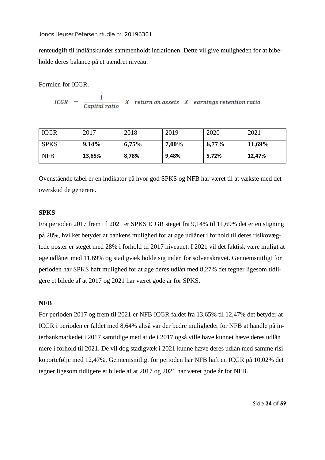renteudgift til indlånskunder sammenholdt inflationen. Dette vil give muligheden for at bibeholde deres balance på et uændret niveau.

Formlen for ICGR.

$$
ICGR = \frac{1}{Capital\ ratio} \quad X \quad return\ on\ assets \quad X \quad earnings\ retention\ ratio
$$

| <b>ICGR</b> | 2017   | 2018  | 2019     | 2020     | 2021   |
|-------------|--------|-------|----------|----------|--------|
| <b>SPKS</b> | 9,14%  | 6,75% | $7,00\%$ | $6,77\%$ | 11,69% |
| <b>NFB</b>  | 13,65% | 8,78% | 9,48%    | 5,72%    | 12,47% |

Ovenstående tabel er en indikator på hvor god SPKS og NFB har været til at vækste med det overskud de generere.

#### **SPKS**

Fra perioden 2017 frem til 2021 er SPKS ICGR steget fra 9,14% til 11,69% det er en stigning på 28%, hvilket betyder at bankens mulighed for at øge udlånet i forhold til deres risikovægtede poster er steget med 28% i forhold til 2017 niveauet. I 2021 vil det faktisk være muligt at øge udlånet med 11,69% og stadigvæk holde sig inden for solvenskravet. Gennemsnitligt for perioden har SPKS haft mulighed for at øge deres udlån med 8,27% det tegner ligesom tidligere et bilede af at 2017 og 2021 har været gode år for SPKS.

#### **NFB**

For perioden 2017 og frem til 2021 er NFB ICGR faldet fra 13,65% til 12,47% det betyder at ICGR i perioden er faldet med 8,64% altså var der bedre muligheder for NFB at handle på interbankmarkedet i 2017 samtidige med at de i 2017 også ville have kunnet hæve deres udlån mere i forhold til 2021. De vil dog stadigvæk i 2021 kunne hæve deres udlån med samme risikoportefølje med 12,47%. Gennemsnitligt for perioden har NFB haft en ICGR på 10,02% det tegner ligesom tidligere et bilede af at 2017 og 2021 har været gode år for NFB.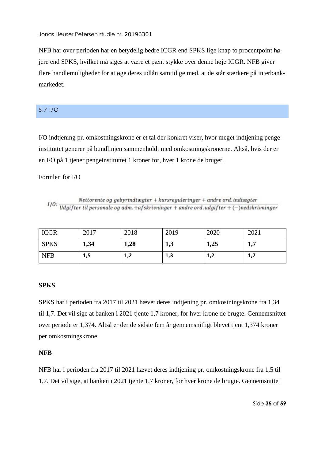NFB har over perioden har en betydelig bedre ICGR end SPKS lige knap to procentpoint højere end SPKS, hvilket må siges at være et pænt stykke over denne høje ICGR. NFB giver flere handlemuligheder for at øge deres udlån samtidige med, at de står stærkere på interbankmarkedet.

#### <span id="page-35-0"></span>5,7 I/O

I/O indtjening pr. omkostningskrone er et tal der konkret viser, hvor meget indtjening pengeinstituttet generer på bundlinjen sammenholdt med omkostningskronerne. Altså, hvis der er en I/O på 1 tjener pengeinstituttet 1 kroner for, hver 1 krone de bruger.

#### Formlen for I/O

 $I/O: \frac{Network\ of\ gebyrindtægter + kursregularinger + andre\ ord. indtægter}{Udgifter\ til\ personale\ og\ adm. +afskrivninger + andre\ ord. udgifter + (-)nedskrivninger}$ 

| <b>ICGR</b> | 2017 | 2018      | 2019 | 2020          | 2021      |
|-------------|------|-----------|------|---------------|-----------|
| <b>SPKS</b> | 1,34 | 1,28      | 19J  | 1,25          | 17<br>1,7 |
| <b>NFB</b>  | 1,5  | 1ว<br>⊥,∠ | 1,3  | ่ 1 ว<br>ے, د | 1,7       |

#### **SPKS**

SPKS har i perioden fra 2017 til 2021 hævet deres indtjening pr. omkostningskrone fra 1,34 til 1,7. Det vil sige at banken i 2021 tjente 1,7 kroner, for hver krone de brugte. Gennemsnittet over periode er 1,374. Altså er der de sidste fem år gennemsnitligt blevet tjent 1,374 kroner per omkostningskrone.

#### **NFB**

NFB har i perioden fra 2017 til 2021 hævet deres indtjening pr. omkostningskrone fra 1,5 til 1,7. Det vil sige, at banken i 2021 tjente 1,7 kroner, for hver krone de brugte. Gennemsnittet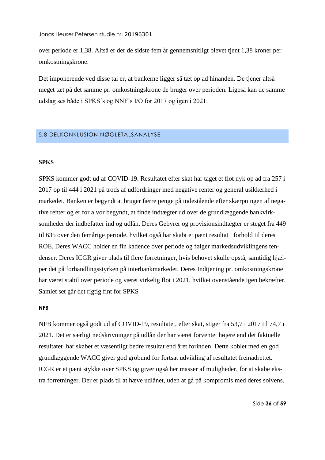over periode er 1,38. Altså er der de sidste fem år gennemsnitligt blevet tjent 1,38 kroner per omkostningskrone.

Det imponerende ved disse tal er, at bankerne ligger så tæt op ad hinanden. De tjener altså meget tæt på det samme pr. omkostningskrone de bruger over perioden. Ligeså kan de samme udslag ses både i SPKS´s og NNF's I/O for 2017 og igen i 2021.

#### <span id="page-36-0"></span>5,8 DELKONKLUSION NØGLETALSANALYSE

#### **SPKS**

SPKS kommer godt ud af COVID-19. Resultatet efter skat har taget et flot nyk op ad fra 257 i 2017 op til 444 i 2021 på trods af udfordringer med negative renter og general usikkerhed i markedet. Banken er begyndt at bruger færre penge på indestående efter skærpningen af negative renter og er for alvor begyndt, at finde indtægter ud over de grundlæggende bankvirksomheder der indbefatter ind og udlån. Deres Gebyrer og provisionsindtægter er steget fra 449 til 635 over den femårige periode, hvilket også har skabt et pænt resultat i forhold til deres ROE. Deres WACC holder en fin kadence over periode og følger markedsudviklingens tendenser. Deres ICGR giver plads til flere forretninger, hvis behovet skulle opstå, samtidig hjælper det på forhandlingsstyrken på interbankmarkedet. Deres Indtjening pr. omkostningskrone har været stabil over periode og været virkelig flot i 2021, hvilket ovenstående igen bekræfter. Samlet set går det rigtig fint for SPKS

#### **NFB**

NFB kommer også godt ud af COVID-19, resultatet, efter skat, stiger fra 53,7 i 2017 til 74,7 i 2021. Det er særligt nedskrivninger på udlån der har været forventet højere end det faktuelle resultatet har skabet et væsentligt bedre resultat end året forinden. Dette koblet med en god grundlæggende WACC giver god grobund for fortsat udvikling af resultatet fremadrettet. ICGR er et pænt stykke over SPKS og giver også her masser af muligheder, for at skabe ekstra forretninger. Der er plads til at hæve udlånet, uden at gå på kompromis med deres solvens.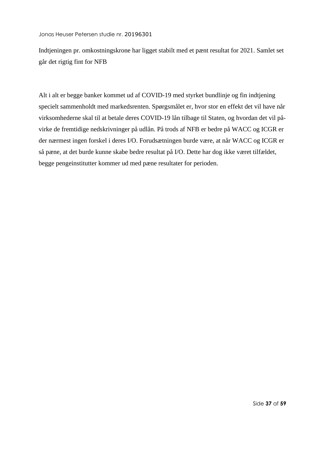Indtjeningen pr. omkostningskrone har ligget stabilt med et pænt resultat for 2021. Samlet set går det rigtig fint for NFB

Alt i alt er begge banker kommet ud af COVID-19 med styrket bundlinje og fin indtjening specielt sammenholdt med markedsrenten. Spørgsmålet er, hvor stor en effekt det vil have når virksomhederne skal til at betale deres COVID-19 lån tilbage til Staten, og hvordan det vil påvirke de fremtidige nedskrivninger på udlån. På trods af NFB er bedre på WACC og ICGR er der nærmest ingen forskel i deres I/O. Forudsætningen burde være, at når WACC og ICGR er så pæne, at det burde kunne skabe bedre resultat på I/O. Dette har dog ikke været tilfældet, begge pengeinstitutter kommer ud med pæne resultater for perioden.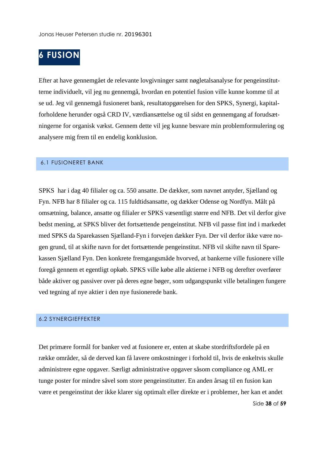# <span id="page-38-0"></span>**6 FUSION**

Efter at have gennemgået de relevante lovgivninger samt nøgletalsanalyse for pengeinstitutterne individuelt, vil jeg nu gennemgå, hvordan en potentiel fusion ville kunne komme til at se ud. Jeg vil gennemgå fusioneret bank, resultatopgørelsen for den SPKS, Synergi, kapitalforholdene herunder også CRD IV, værdiansættelse og til sidst en gennemgang af forudsætningerne for organisk vækst. Gennem dette vil jeg kunne besvare min problemformulering og analysere mig frem til en endelig konklusion.

#### <span id="page-38-1"></span>6.1 FUSIONERET BANK

SPKS har i dag 40 filialer og ca. 550 ansatte. De dækker, som navnet antyder, Sjælland og Fyn. NFB har 8 filialer og ca. 115 fuldtidsansatte, og dækker Odense og Nordfyn. Målt på omsætning, balance, ansatte og filialer er SPKS væsentligt større end NFB. Det vil derfor give bedst mening, at SPKS bliver det fortsættende pengeinstitut. NFB vil passe fint ind i markedet med SPKS da Sparekassen Sjælland-Fyn i forvejen dækker Fyn. Der vil derfor ikke være nogen grund, til at skifte navn for det fortsættende pengeinstitut. NFB vil skifte navn til Sparekassen Sjælland Fyn. Den konkrete fremgangsmåde hvorved, at bankerne ville fusionere ville foregå gennem et egentligt opkøb. SPKS ville købe alle aktierne i NFB og derefter overfører både aktiver og passiver over på deres egne bøger, som udgangspunkt ville betalingen fungere ved tegning af nye aktier i den nye fusionerede bank.

#### <span id="page-38-2"></span>6.2 SYNERGIEFFEKTER

Side **38** af **59** Det primære formål for banker ved at fusionere er, enten at skabe stordriftsfordele på en række områder, så de derved kan få lavere omkostninger i forhold til, hvis de enkeltvis skulle administrere egne opgaver. Særligt administrative opgaver såsom compliance og AML er tunge poster for mindre såvel som store pengeinstitutter. En anden årsag til en fusion kan være et pengeinstitut der ikke klarer sig optimalt eller direkte er i problemer, her kan et andet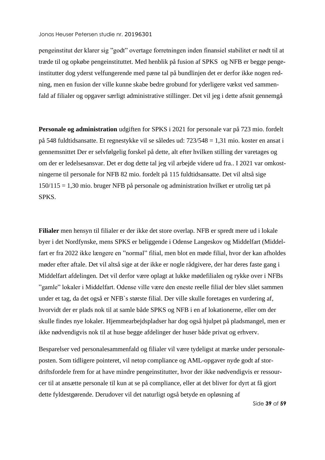pengeinstitut der klarer sig "godt" overtage forretningen inden finansiel stabilitet er nødt til at træde til og opkøbe pengeinstituttet. Med henblik på fusion af SPKS og NFB er begge pengeinstitutter dog yderst velfungerende med pæne tal på bundlinjen det er derfor ikke nogen redning, men en fusion der ville kunne skabe bedre grobund for yderligere vækst ved sammenfald af filialer og opgaver særligt administrative stillinger. Det vil jeg i dette afsnit gennemgå

**Personale og administration** udgiften for SPKS i 2021 for personale var på 723 mio. fordelt på 548 fuldtidsansatte. Et regnestykke vil se således ud: 723/548 = 1,31 mio. koster en ansat i gennemsnittet Der er selvfølgelig forskel på dette, alt efter hvilken stilling der varetages og om der er ledelsesansvar. Det er dog dette tal jeg vil arbejde videre ud fra.. I 2021 var omkostningerne til personale for NFB 82 mio. fordelt på 115 fuldtidsansatte. Det vil altså sige 150/115 = 1,30 mio. bruger NFB på personale og administration hvilket er utrolig tæt på SPKS.

**Filialer** men hensyn til filialer er der ikke det store overlap. NFB er spredt mere ud i lokale byer i det Nordfynske, mens SPKS er beliggende i Odense Langeskov og Middelfart (Middelfart er fra 2022 ikke længere en "normal" filial, men blot en møde filial, hvor der kan afholdes møder efter aftale. Det vil altså sige at der ikke er nogle rådgivere, der har deres faste gang i Middelfart afdelingen. Det vil derfor være oplagt at lukke mødefilialen og rykke over i NFBs "gamle" lokaler i Middelfart. Odense ville være den eneste reelle filial der blev slået sammen under et tag, da det også er NFB`s største filial. Der ville skulle foretages en vurdering af, hvorvidt der er plads nok til at samle både SPKS og NFB i en af lokationerne, eller om der skulle findes nye lokaler. Hjemmearbejdspladser har dog også hjulpet på pladsmangel, men er ikke nødvendigvis nok til at huse begge afdelinger der huser både privat og erhverv.

Besparelser ved personalesammenfald og filialer vil være tydeligst at mærke under personaleposten. Som tidligere pointeret, vil netop compliance og AML-opgaver nyde godt af stordriftsfordele frem for at have mindre pengeinstitutter, hvor der ikke nødvendigvis er ressourcer til at ansætte personale til kun at se på compliance, eller at det bliver for dyrt at få gjort dette fyldestgørende. Derudover vil det naturligt også betyde en opløsning af

Side **39** af **59**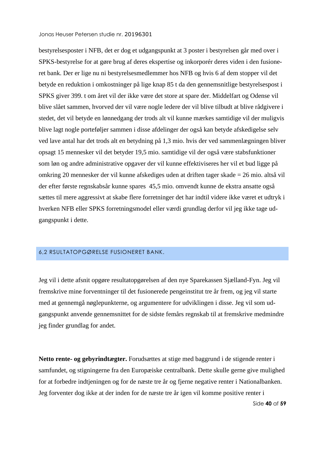bestyrelsesposter i NFB, det er dog et udgangspunkt at 3 poster i bestyrelsen går med over i SPKS-bestyrelse for at gøre brug af deres ekspertise og inkorporér deres viden i den fusioneret bank. Der er lige nu ni bestyrelsesmedlemmer hos NFB og hvis 6 af dem stopper vil det betyde en reduktion i omkostninger på lige knap 85 t da den gennemsnitlige bestyrelsespost i SPKS giver 399. t om året vil der ikke være det store at spare der. Middelfart og Odense vil blive slået sammen, hvorved der vil være nogle ledere der vil blive tilbudt at blive rådgivere i stedet, det vil betyde en lønnedgang der trods alt vil kunne mærkes samtidige vil der muligvis blive lagt nogle porteføljer sammen i disse afdelinger der også kan betyde afskedigelse selv ved lave antal har det trods alt en betydning på 1,3 mio. hvis der ved sammenlægningen bliver opsagt 15 mennesker vil det betyder 19,5 mio. samtidige vil der også være stabsfunktioner som løn og andre administrative opgaver der vil kunne effektiviseres her vil et bud ligge på omkring 20 mennesker der vil kunne afskediges uden at driften tager skade = 26 mio. altså vil der efter første regnskabsår kunne spares 45,5 mio. omvendt kunne de ekstra ansatte også sættes til mere aggressivt at skabe flere forretninger det har indtil videre ikke været et udtryk i hverken NFB eller SPKS forretningsmodel eller værdi grundlag derfor vil jeg ikke tage udgangspunkt i dette.

#### <span id="page-40-0"></span>6,2 RSULTATOPGØRELSE FUSIONERET BANK.

Jeg vil i dette afsnit opgøre resultatopgørelsen af den nye Sparekassen Sjælland-Fyn. Jeg vil fremskrive mine forventninger til det fusionerede pengeinstitut tre år frem, og jeg vil starte med at gennemgå nøglepunkterne, og argumentere for udviklingen i disse. Jeg vil som udgangspunkt anvende gennemsnittet for de sidste femårs regnskab til at fremskrive medmindre jeg finder grundlag for andet.

**Netto rente- og gebyrindtægter.** Forudsættes at stige med baggrund i de stigende renter i samfundet, og stigningerne fra den Europæiske centralbank. Dette skulle gerne give mulighed for at forbedre indtjeningen og for de næste tre år og fjerne negative renter i Nationalbanken. Jeg forventer dog ikke at der inden for de næste tre år igen vil komme positive renter i

Side **40** af **59**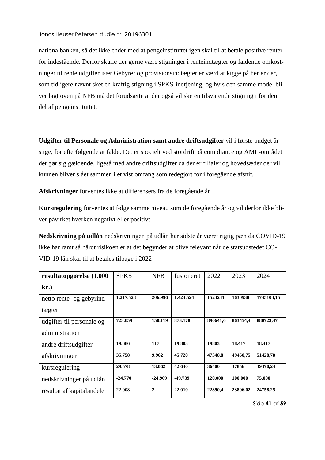nationalbanken, så det ikke ender med at pengeinstituttet igen skal til at betale positive renter for indestående. Derfor skulle der gerne være stigninger i renteindtægter og faldende omkostninger til rente udgifter især Gebyrer og provisionsindtægter er værd at kigge på her er der, som tidligere nævnt sket en kraftig stigning i SPKS-indtjening, og hvis den samme model bliver lagt oven på NFB må det forudsætte at der også vil ske en tilsvarende stigning i for den del af pengeinstituttet.

**Udgifter til Personale og Administration samt andre driftsudgifter** vil i første budget år stige, for efterfølgende at falde. Det er specielt ved stordrift på compliance og AML-området det gør sig gældende, ligeså med andre driftsudgifter da der er filialer og hovedsæder der vil kunnen bliver slået sammen i et vist omfang som redegjort for i foregående afsnit.

**Afskrivninger** forventes ikke at differensers fra de foregående år

**Kursregulering** forventes at følge samme niveau som de foregående år og vil derfor ikke bliver påvirket hverken negativt eller positivt.

**Nedskrivning på udlån** nedskrivningen på udlån har sidste år været rigtig pæn da COVID-19 ikke har ramt så hårdt risikoen er at det begynder at blive relevant når de statsudstedet CO-VID-19 lån skal til at betales tilbage i 2022

| resultatopgørelse (1.000  | <b>SPKS</b> | <b>NFB</b>     | fusioneret | 2022     | 2023     | 2024       |
|---------------------------|-------------|----------------|------------|----------|----------|------------|
| kr.                       |             |                |            |          |          |            |
| netto rente- og gebyrind- | 1.217.528   | 206.996        | 1.424.524  | 1524241  | 1630938  | 1745103,15 |
| tægter                    |             |                |            |          |          |            |
| udgifter til personale og | 723.059     | 150.119        | 873.178    | 890641.6 | 863454,4 | 880723,47  |
| administration            |             |                |            |          |          |            |
| andre driftsudgifter      | 19.686      | 117            | 19.803     | 19803    | 18.417   | 18.417     |
| afskrivninger             | 35.758      | 9.962          | 45.720     | 47548.8  | 49450.75 | 51428,78   |
| kursregulering            | 29.578      | 13.062         | 42.640     | 36400    | 37856    | 39370.24   |
| nedskrivninger på udlån   | $-24.770$   | $-24.969$      | $-49.739$  | 120.000  | 100.000  | 75.000     |
| resultat af kapitalandele | 22.008      | $\overline{2}$ | 22.010     | 22890,4  | 23806,02 | 24758,25   |

Side **41** af **59**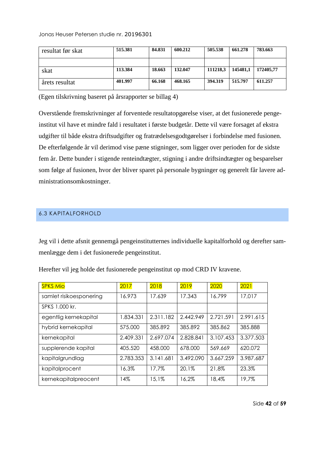| resultat før skat | 515.381 | 84.831 | 600.212 | 505.538  | 661.278  | 783.663   |
|-------------------|---------|--------|---------|----------|----------|-----------|
|                   |         |        |         |          |          |           |
| skat              | 113.384 | 18.663 | 132.047 | 111218.3 | 145481.1 | 172405.77 |
| årets resultat    | 401.997 | 66.168 | 468.165 | 394.319  | 515.797  | 611.257   |

(Egen tilskrivning baseret på årsrapporter se billag 4)

Overstående fremskrivninger af forventede resultatopgørelse viser, at det fusionerede pengeinstitut vil have et mindre fald i resultatet i første budgetår. Dette vil være forsaget af ekstra udgifter til både ekstra driftsudgifter og fratrædelsesgodtgørelser i forbindelse med fusionen. De efterfølgende år vil derimod vise pæne stigninger, som ligger over perioden for de sidste fem år. Dette bunder i stigende renteindtægter, stigning i andre driftsindtægter og besparelser som følge af fusionen, hvor der bliver sparet på personale bygninger og generelt får lavere administrationsomkostninger.

#### <span id="page-42-0"></span>6.3 KAPITALFORHOLD

Jeg vil i dette afsnit gennemgå pengeinstitutternes individuelle kapitalforhold og derefter sammenlægge dem i det fusionerede pengeinstitut.

| <b>SPKS Mio</b>         | 2017      | 2018      | 2019      | 2020      | 2021      |
|-------------------------|-----------|-----------|-----------|-----------|-----------|
| samlet risikoesponering | 16.973    | 17.639    | 17.343    | 16.799    | 17,017    |
| SPKS 1.000 kr.          |           |           |           |           |           |
| egentlig kernekapital   | 1.834.331 | 2.311.182 | 2.442.949 | 2.721.591 | 2.991.615 |
| hybrid kernekapital     | 575,000   | 385.892   | 385.892   | 385.862   | 385.888   |
| kernekapital            | 2.409.331 | 2.697.074 | 2.828.841 | 3.107.453 | 3.377.503 |
| supplerende kapital     | 405.520   | 458,000   | 678,000   | 569.669   | 620.072   |
| kapitalgrundlag         | 2.783.353 | 3.141.681 | 3.492.090 | 3.667.259 | 3.987.687 |
| kapitalprocent          | 16.3%     | 17,7%     | 20.1%     | 21,8%     | 23,3%     |
| kernekapitalpreocent    | 14%       | 15.1%     | 16,2%     | 18,4%     | 19,7%     |

Herefter vil jeg holde det fusionerede pengeinstitut op mod CRD IV kravene.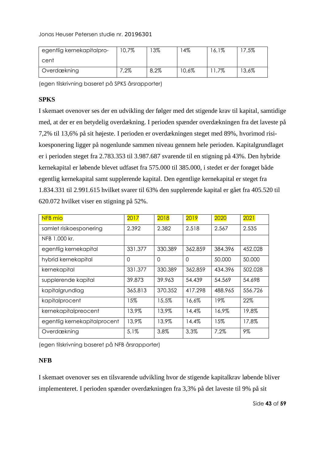| egentlig kernekapitalpro- | 10,7%   | $3\%$ | 4%    | 16,1% | 7,5%     |
|---------------------------|---------|-------|-------|-------|----------|
| cent                      |         |       |       |       |          |
| Overdækning               | $7.2\%$ | 8,2%  | 10,6% | 1,7%  | $13,6\%$ |

(egen tilskrivning baseret på SPKS årsrapporter)

#### **SPKS**

I skemaet ovenover ses der en udvikling der følger med det stigende krav til kapital, samtidige med, at der er en betydelig overdækning. I perioden spænder overdækningen fra det laveste på 7,2% til 13,6% på sit højeste. I perioden er overdækningen steget med 89%, hvorimod risikoesponering ligger på nogenlunde sammen niveau gennem hele perioden. Kapitalgrundlaget er i perioden steget fra 2.783.353 til 3.987.687 svarende til en stigning på 43%. Den hybride kernekapital er løbende blevet udfaset fra 575.000 til 385.000, i stedet er der forøget både egentlig kernekapital samt supplerende kapital. Den egentlige kernekapital er steget fra 1.834.331 til 2.991.615 hvilket svarer til 63% den supplerende kapital er gået fra 405.520 til 620.072 hvilket viser en stigning på 52%.

| NFB mio                      | 2017    | 2018     | 2019     | 2020    | 2021    |
|------------------------------|---------|----------|----------|---------|---------|
| samlet risikoesponering      | 2.392   | 2.382    | 2.518    | 2.567   | 2.535   |
| NFB 1.000 kr.                |         |          |          |         |         |
| egentlig kernekapital        | 331.377 | 330.389  | 362.859  | 384.396 | 452.028 |
| hybrid kernekapital          | 0       | $\Omega$ | $\Omega$ | 50.000  | 50,000  |
| kernekapital                 | 331.377 | 330.389  | 362.859  | 434.396 | 502.028 |
| supplerende kapital          | 39.873  | 39.963   | 54.439   | 54.569  | 54.698  |
| kapitalgrundlag              | 365.813 | 370.352  | 417.298  | 488.965 | 556.726 |
| kapitalprocent               | 15%     | 15.5%    | 16,6%    | 19%     | 22%     |
| kernekapitalpreocent         | 13,9%   | 13,9%    | 14.4%    | 16,9%   | 19,8%   |
| egentlig kernekapitalprocent | 13,9%   | 13,9%    | 14,4%    | 15%     | 17,8%   |
| Overdækning                  | 5.1%    | 3,8%     | 3,3%     | 7.2%    | 9%      |

(egen tilskrivning baseret på NFB årsrapporter)

#### **NFB**

I skemaet ovenover ses en tilsvarende udvikling hvor de stigende kapitalkrav løbende bliver implementeret. I perioden spænder overdækningen fra 3,3% på det laveste til 9% på sit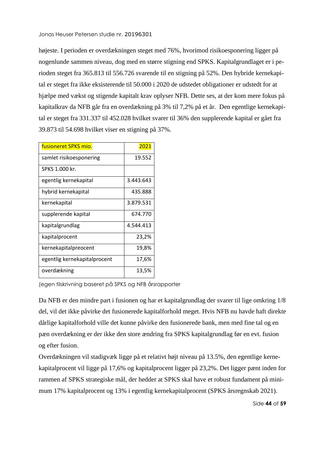højeste. I perioden er overdækningen steget med 76%, hvorimod risikoesponering ligger på nogenlunde sammen niveau, dog med en større stigning end SPKS. Kapitalgrundlaget er i perioden steget fra 365.813 til 556.726 svarende til en stigning på 52%. Den hybride kernekapital er steget fra ikke eksisterende til 50.000 i 2020 de udstedet obligationer er udstedt for at hjælpe med vækst og stigende kapitalt krav oplyser NFB. Dette ses, at der kom mere fokus på kapitalkrav da NFB går fra en overdækning på 3% til 7,2% på et år. Den egentlige kernekapital er steget fra 331.337 til 452.028 hvilket svarer til 36% den supplerende kapital er gået fra 39.873 til 54.698 hvilket viser en stigning på 37%.

| fusioneret SPKS mio.         | 2021      |
|------------------------------|-----------|
| samlet risikoesponering      | 19.552    |
| SPKS 1.000 kr.               |           |
| egentlig kernekapital        | 3.443.643 |
| hybrid kernekapital          | 435.888   |
| kernekapital                 | 3.879.531 |
| supplerende kapital          | 674.770   |
| kapitalgrundlag              | 4.544.413 |
| kapitalprocent               | 23,2%     |
| kernekapitalpreocent         | 19,8%     |
| egentlig kernekapitalprocent | 17,6%     |
| overdækning                  | 13,5%     |

(egen tilskrivning baseret på SPKS og NFB årsrapporter

Da NFB er den mindre part i fusionen og har et kapitalgrundlag der svarer til lige omkring 1/8 del, vil det ikke påvirke det fusionerede kapitalforhold meget. Hvis NFB nu havde haft direkte dårlige kapitalforhold ville det kunne påvirke den fusionerede bank, men med fine tal og en pæn overdækning er der ikke den store ændring fra SPKS kapitalgrundlag før en evt. fusion og efter fusion.

Overdækningen vil stadigvæk ligge på et relativt højt niveau på 13.5%, den egentlige kernekapitalprocent vil ligge på 17,6% og kapitalprocent ligger på 23,2%. Det ligger pænt inden for rammen af SPKS strategiske mål, der hedder at SPKS skal have et robust fundament på minimum 17% kapitalprocent og 13% i egentlig kernekapitalprocent (SPKS årsregnskab 2021).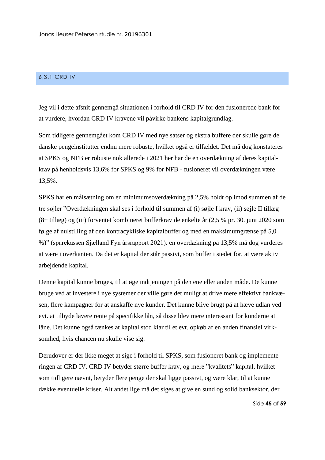#### <span id="page-45-0"></span>6,3,1 CRD IV

Jeg vil i dette afsnit gennemgå situationen i forhold til CRD IV for den fusionerede bank for at vurdere, hvordan CRD IV kravene vil påvirke bankens kapitalgrundlag.

Som tidligere gennemgået kom CRD IV med nye satser og ekstra buffere der skulle gøre de danske pengeinstitutter endnu mere robuste, hvilket også er tilfældet. Det må dog konstateres at SPKS og NFB er robuste nok allerede i 2021 her har de en overdækning af deres kapitalkrav på henholdsvis 13,6% for SPKS og 9% for NFB - fusioneret vil overdækningen være 13,5%.

SPKS har en målsætning om en minimumsoverdækning på 2,5% holdt op imod summen af de tre søjler "Overdækningen skal ses i forhold til summen af (i) søjle I krav, (ii) søjle II tillæg (8+ tillæg) og (iii) forventet kombineret bufferkrav de enkelte år (2,5 % pr. 30. juni 2020 som følge af nulstilling af den kontracykliske kapitalbuffer og med en maksimumgrænse på 5,0 %)" (sparekassen Sjælland Fyn årsrapport 2021). en overdækning på 13,5% må dog vurderes at være i overkanten. Da det er kapital der står passivt, som buffer i stedet for, at være aktiv arbejdende kapital.

Denne kapital kunne bruges, til at øge indtjeningen på den ene eller anden måde. De kunne bruge ved at investere i nye systemer der ville gøre det muligt at drive mere effektivt bankvæsen, flere kampagner for at anskaffe nye kunder. Det kunne blive brugt på at hæve udlån ved evt. at tilbyde lavere rente på specifikke lån, så disse blev mere interessant for kunderne at låne. Det kunne også tænkes at kapital stod klar til et evt. opkøb af en anden finansiel virksomhed, hvis chancen nu skulle vise sig.

Derudover er der ikke meget at sige i forhold til SPKS, som fusioneret bank og implementeringen af CRD IV. CRD IV betyder større buffer krav, og mere "kvalitets" kapital, hvilket som tidligere nævnt, betyder flere penge der skal ligge passivt, og være klar, til at kunne dække eventuelle kriser. Alt andet lige må det siges at give en sund og solid banksektor, der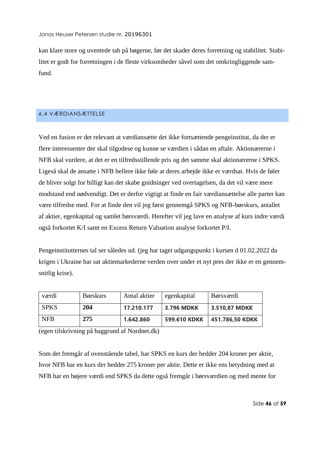kan klare store og uventede tab på bøgerne, før det skader deres forretning og stabilitet. Stabilitet er godt for forretningen i de fleste virksomheder såvel som det omkringliggende samfund.

#### <span id="page-46-0"></span>6.4 VÆRDIANSÆTTELSE

Ved en fusion er det relevant at værdiansætte det ikke fortsættende pengeinstitut, da der er flere interessenter der skal tilgodese og kunne se værdien i sådan en aftale. Aktionærerne i NFB skal vurdere, at det er en tilfredsstillende pris og det samme skal aktionærerne i SPKS. Ligeså skal de ansatte i NFB hellere ikke føle at deres arbejde ikke er værdsat. Hvis de føler de bliver solgt for billigt kan det skabe gnidninger ved overtagelsen, da det vil være mere modstand end nødvendigt. Det er derfor vigtigt at finde en fair værdiansættelse alle parter kan være tilfredse med. For at finde den vil jeg først gennemgå SPKS og NFB-børskurs, antallet af aktier, egenkapital og samlet børsværdi. Herefter vil jeg lave en analyse af kurs indre værdi også forkortet K/I samt en Excess Return Valuation analyse forkortet P/I.

Pengeinstitutternes tal ser således ud. (jeg har taget udgangspunkt i kursen d 01.02.2022 da krigen i Ukraine har sat aktiemarkederne verden over under et nyt pres der ikke er en gennemsnitlig krise).

| værdi       | <b>Børskurs</b> | Antal aktier | egenkapital         | <b>B</b> ørsværdi |
|-------------|-----------------|--------------|---------------------|-------------------|
| <b>SPKS</b> | <b>204</b>      | 17.210.177   | 3.796 MDKK          | 3.510,87 MDKK     |
| <b>NFB</b>  | 275             | 1.642.860    | <b>599.610 KDKK</b> | 451.786,50 KDKK   |

(egen tilskrivning på baggrund af Nordnet.dk)

Som det fremgår af ovenstående tabel, har SPKS en kurs der hedder 204 kroner per aktie, hvor NFB har en kurs der hedder 275 kroner per aktie. Dette er ikke ens betydning med at NFB har en højere værdi end SPKS da dette også fremgår i børsværdien og med mente for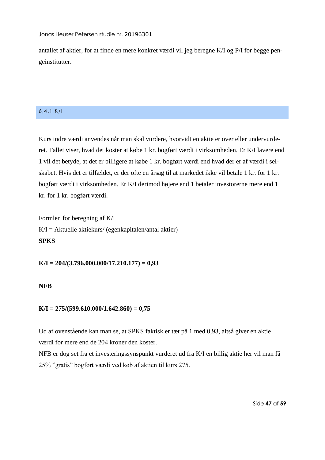antallet af aktier, for at finde en mere konkret værdi vil jeg beregne K/I og P/I for begge pengeinstitutter.

#### <span id="page-47-0"></span>6,4,1 K/I

Kurs indre værdi anvendes når man skal vurdere, hvorvidt en aktie er over eller undervurderet. Tallet viser, hvad det koster at købe 1 kr. bogført værdi i virksomheden. Er K/I lavere end 1 vil det betyde, at det er billigere at købe 1 kr. bogført værdi end hvad der er af værdi i selskabet. Hvis det er tilfældet, er der ofte en årsag til at markedet ikke vil betale 1 kr. for 1 kr. bogført værdi i virksomheden. Er K/I derimod højere end 1 betaler investorerne mere end 1 kr. for 1 kr. bogført værdi.

Formlen for beregning af K/I  $K/I = Aktuelle aktiekurs/ (egenkapitalen/antal aktier)$ **SPKS**

**K/I = 204/(3.796.000.000/17.210.177) = 0,93**

#### **NFB**

#### **K/I = 275/(599.610.000/1.642.860) = 0,75**

Ud af ovenstående kan man se, at SPKS faktisk er tæt på 1 med 0,93, altså giver en aktie værdi for mere end de 204 kroner den koster.

NFB er dog set fra et investeringssynspunkt vurderet ud fra K/I en billig aktie her vil man få 25% "gratis" bogført værdi ved køb af aktien til kurs 275.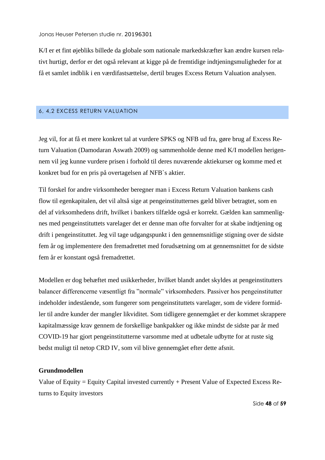K/I er et fint øjebliks billede da globale som nationale markedskræfter kan ændre kursen relativt hurtigt, derfor er det også relevant at kigge på de fremtidige indtjeningsmuligheder for at få et samlet indblik i en værdifastsættelse, dertil bruges Excess Return Valuation analysen.

#### <span id="page-48-0"></span>6, 4,2 EXCESS RETURN VALUATION

Jeg vil, for at få et mere konkret tal at vurdere SPKS og NFB ud fra, gøre brug af Excess Return Valuation (Damodaran Aswath 2009) og sammenholde denne med K/I modellen herigennem vil jeg kunne vurdere prisen i forhold til deres nuværende aktiekurser og komme med et konkret bud for en pris på overtagelsen af NFB`s aktier.

Til forskel for andre virksomheder beregner man i Excess Return Valuation bankens cash flow til egenkapitalen, det vil altså sige at pengeinstitutternes gæld bliver betragtet, som en del af virksomhedens drift, hvilket i bankers tilfælde også er korrekt. Gælden kan sammenlignes med pengeinstituttets varelager det er denne man ofte forvalter for at skabe indtjening og drift i pengeinstituttet. Jeg vil tage udgangspunkt i den gennemsnitlige stigning over de sidste fem år og implementere den fremadrettet med forudsætning om at gennemsnittet for de sidste fem år er konstant også fremadrettet.

Modellen er dog behæftet med usikkerheder, hvilket blandt andet skyldes at pengeinstitutters balancer differencerne væsentligt fra "normale" virksomheders. Passiver hos pengeinstitutter indeholder indestående, som fungerer som pengeinstituttets varelager, som de videre formidler til andre kunder der mangler likviditet. Som tidligere gennemgået er der kommet skrappere kapitalmæssige krav gennem de forskellige bankpakker og ikke mindst de sidste par år med COVID-19 har gjort pengeinstitutterne varsomme med at udbetale udbytte for at ruste sig bedst muligt til netop CRD IV, som vil blive gennemgået efter dette afsnit.

#### **Grundmodellen**

Value of Equity = Equity Capital invested currently + Present Value of Expected Excess Returns to Equity investors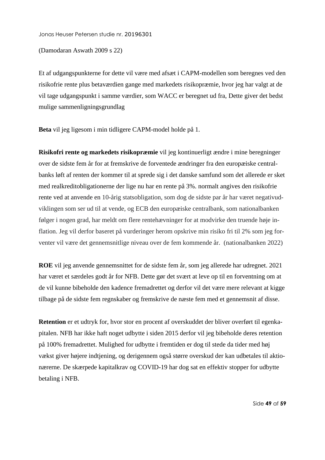(Damodaran Aswath 2009 s 22)

Et af udgangspunkterne for dette vil være med afsæt i CAPM-modellen som beregnes ved den risikofrie rente plus betaværdien gange med markedets risikopræmie, hvor jeg har valgt at de vil tage udgangspunkt i samme værdier, som WACC er beregnet ud fra, Dette giver det bedst mulige sammenligningsgrundlag

**Beta** vil jeg ligesom i min tidligere CAPM-model holde på 1.

**Risikofri rente og markedets risikopræmie** vil jeg kontinuerligt ændre i mine beregninger over de sidste fem år for at fremskrive de forventede ændringer fra den europæiske centralbanks løft af renten der kommer til at sprede sig i det danske samfund som det allerede er sket med realkreditobligationerne der lige nu har en rente på 3%. normalt angives den risikofrie rente ved at anvende en 10-årig statsobligation, som dog de sidste par år har været negativudviklingen som ser ud til at vende, og ECB den europæiske centralbank, som nationalbanken følger i nogen grad, har meldt om flere rentehævninger for at modvirke den truende høje inflation. Jeg vil derfor baseret på vurderinger herom opskrive min risiko fri til 2% som jeg forventer vil være det gennemsnitlige niveau over de fem kommende år. (nationalbanken 2022)

**ROE** vil jeg anvende gennemsnittet for de sidste fem år, som jeg allerede har udregnet. 2021 har været et særdeles godt år for NFB. Dette gør det svært at leve op til en forventning om at de vil kunne bibeholde den kadence fremadrettet og derfor vil det være mere relevant at kigge tilbage på de sidste fem regnskaber og fremskrive de næste fem med et gennemsnit af disse.

**Retention** er et udtryk for, hvor stor en procent af overskuddet der bliver overført til egenkapitalen. NFB har ikke haft noget udbytte i siden 2015 derfor vil jeg bibeholde deres retention på 100% fremadrettet. Mulighed for udbytte i fremtiden er dog til stede da tider med høj vækst giver højere indtjening, og derigennem også større overskud der kan udbetales til aktionærerne. De skærpede kapitalkrav og COVID-19 har dog sat en effektiv stopper for udbytte betaling i NFB.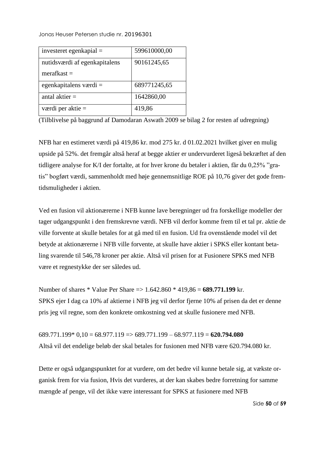| investeret egenkapial $=$     | 599610000,00 |
|-------------------------------|--------------|
| nutidsværdi af egenkapitalens | 90161245,65  |
| $merafkast =$                 |              |
| egenkapitalens værdi $=$      | 689771245,65 |
| antal aktier $=$              | 1642860,00   |
| værdi per aktie $=$           | 419,86       |

(Tilblivelse på baggrund af Damodaran Aswath 2009 se bilag 2 for resten af udregning)

NFB har en estimeret værdi på 419,86 kr. mod 275 kr. d 01.02.2021 hvilket giver en mulig upside på 52%. det fremgår altså heraf at begge aktier er undervurderet ligeså bekræftet af den tidligere analyse for K/I der fortalte, at for hver krone du betaler i aktien, får du 0,25% "gratis" bogført værdi, sammenholdt med høje gennemsnitlige ROE på 10,76 giver det gode fremtidsmuligheder i aktien.

Ved en fusion vil aktionærerne i NFB kunne lave beregninger ud fra forskellige modeller der tager udgangspunkt i den fremskrevne værdi. NFB vil derfor komme frem til et tal pr. aktie de ville forvente at skulle betales for at gå med til en fusion. Ud fra ovenstående model vil det betyde at aktionærerne i NFB ville forvente, at skulle have aktier i SPKS eller kontant betaling svarende til 546,78 kroner per aktie. Altså vil prisen for at Fusionere SPKS med NFB være et regnestykke der ser således ud.

Number of shares \* Value Per Share => 1.642.860 \* 419,86 = **689.771.199** kr. SPKS ejer I dag ca 10% af aktierne i NFB jeg vil derfor fjerne 10% af prisen da det er denne pris jeg vil regne, som den konkrete omkostning ved at skulle fusionere med NFB.

689.771.199\* 0,10 = 68.977.119 => 689.771.199 – 68.977.119 = **620.794.080** Altså vil det endelige beløb der skal betales for fusionen med NFB være 620.794.080 kr.

Dette er også udgangspunktet for at vurdere, om det bedre vil kunne betale sig, at vækste organisk frem for via fusion, Hvis det vurderes, at der kan skabes bedre forretning for samme mængde af penge, vil det ikke være interessant for SPKS at fusionere med NFB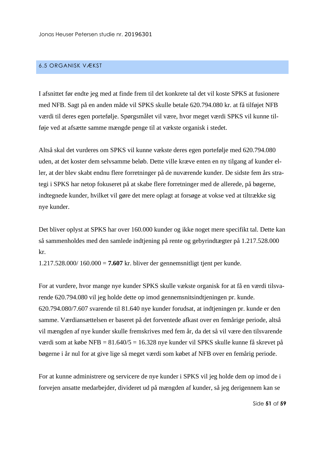#### <span id="page-51-0"></span>6.5 ORGANISK VÆKST

I afsnittet før endte jeg med at finde frem til det konkrete tal det vil koste SPKS at fusionere med NFB. Sagt på en anden måde vil SPKS skulle betale 620.794.080 kr. at få tilføjet NFB værdi til deres egen portefølje. Spørgsmålet vil være, hvor meget værdi SPKS vil kunne tilføje ved at afsætte samme mængde penge til at vækste organisk i stedet.

Altså skal det vurderes om SPKS vil kunne vækste deres egen portefølje med 620.794.080 uden, at det koster dem selvsamme beløb. Dette ville kræve enten en ny tilgang af kunder eller, at der blev skabt endnu flere forretninger på de nuværende kunder. De sidste fem års strategi i SPKS har netop fokuseret på at skabe flere forretninger med de allerede, på bøgerne, indtegnede kunder, hvilket vil gøre det mere oplagt at forsøge at vokse ved at tiltrække sig nye kunder.

Det bliver oplyst at SPKS har over 160.000 kunder og ikke noget mere specifikt tal. Dette kan så sammenholdes med den samlede indtjening på rente og gebyrindtægter på 1.217.528.000 kr.

1.217.528.000/ 160.000 = **7.607** kr. bliver der gennemsnitligt tjent per kunde.

For at vurdere, hvor mange nye kunder SPKS skulle vækste organisk for at få en værdi tilsvarende 620.794.080 vil jeg holde dette op imod gennemsnitsindtjeningen pr. kunde. 620.794.080/7.607 svarende til 81.640 nye kunder forudsat, at indtjeningen pr. kunde er den samme. Værdiansættelsen er baseret på det forventede afkast over en femårige periode, altså vil mængden af nye kunder skulle fremskrives med fem år, da det så vil være den tilsvarende værdi som at købe NFB = 81.640/5 = 16.328 nye kunder vil SPKS skulle kunne få skrevet på bøgerne i år nul for at give lige så meget værdi som købet af NFB over en femårig periode.

For at kunne administrere og servicere de nye kunder i SPKS vil jeg holde dem op imod de i forvejen ansatte medarbejder, divideret ud på mængden af kunder, så jeg derigennem kan se

Side **51** af **59**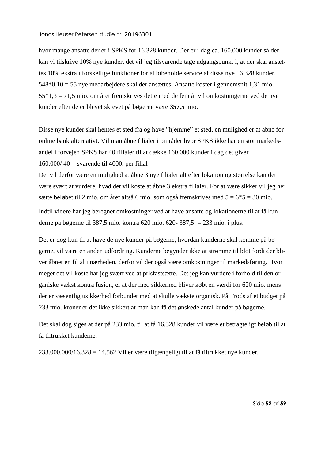hvor mange ansatte der er i SPKS for 16.328 kunder. Der er i dag ca. 160.000 kunder så der kan vi tilskrive 10% nye kunder, det vil jeg tilsvarende tage udgangspunkt i, at der skal ansættes 10% ekstra i forskellige funktioner for at bibeholde service af disse nye 16.328 kunder. 548\*0,10 = 55 nye medarbejdere skal der ansættes. Ansatte koster i gennemsnit 1,31 mio. 55\*1,3 = 71,5 mio. om året fremskrives dette med de fem år vil omkostningerne ved de nye kunder efter de er blevet skrevet på bøgerne være **357,5** mio.

Disse nye kunder skal hentes et sted fra og have "hjemme" et sted, en mulighed er at åbne for online bank alternativt. Vil man åbne filialer i områder hvor SPKS ikke har en stor markedsandel i forvejen SPKS har 40 filialer til at dække 160.000 kunder i dag det giver 160.000/ $40 =$  svarende til 4000. per filial

Det vil derfor være en mulighed at åbne 3 nye filialer alt efter lokation og størrelse kan det være svært at vurdere, hvad det vil koste at åbne 3 ekstra filialer. For at være sikker vil jeg her sætte beløbet til 2 mio. om året altså 6 mio. som også fremskrives med  $5 = 6*5 = 30$  mio.

Indtil videre har jeg beregnet omkostninger ved at have ansatte og lokationerne til at få kunderne på bøgerne til 387,5 mio. kontra 620 mio. 620- 387,5 = 233 mio. i plus.

Det er dog kun til at have de nye kunder på bøgerne, hvordan kunderne skal komme på bøgerne, vil være en anden udfordring. Kunderne begynder ikke at strømme til blot fordi der bliver åbnet en filial i nærheden, derfor vil der også være omkostninger til markedsføring. Hvor meget det vil koste har jeg svært ved at prisfastsætte. Det jeg kan vurdere i forhold til den organiske vækst kontra fusion, er at der med sikkerhed bliver købt en værdi for 620 mio. mens der er væsentlig usikkerhed forbundet med at skulle vækste organisk. På Trods af et budget på 233 mio. kroner er det ikke sikkert at man kan få det ønskede antal kunder på bøgerne.

Det skal dog siges at der på 233 mio. til at få 16.328 kunder vil være et betragteligt beløb til at få tiltrukket kunderne.

 $233.000.000/16.328 = 14.562$  Vil er være tilgængeligt til at få tiltrukket nye kunder.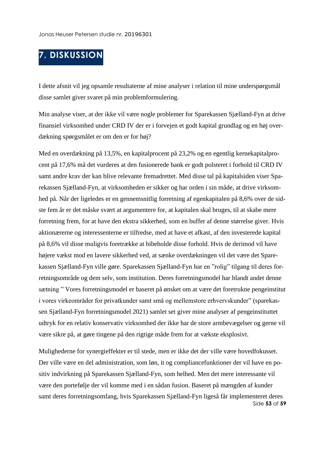# <span id="page-53-0"></span>**7. DISKUSSION**

I dette afsnit vil jeg opsamle resultaterne af mine analyser i relation til mine underspørgsmål disse samlet giver svaret på min problemformulering.

Min analyse viser, at der ikke vil være nogle problemer for Sparekassen Sjælland-Fyn at drive finansiel virksomhed under CRD IV der er i forvejen et godt kapital grundlag og en høj overdækning spørgsmålet er om den er for høj?

Med en overdækning på 13,5%, en kapitalprocent på 23,2% og en egentlig kernekapitalprocent på 17,6% må det vurderes at den fusionerede bank er godt polsteret i forhold til CRD IV samt andre krav der kan blive relevante fremadrettet. Med disse tal på kapitalsiden viser Sparekassen Sjælland-Fyn, at virksomheden er sikker og har orden i sin måde, at drive virksomhed på. Når der ligeledes er en gennemsnitlig forretning af egenkapitalen på 8,6% over de sidste fem år er det måske svært at argumentere for, at kapitalen skal bruges, til at skabe mere forretning frem, for at have den ekstra sikkerhed, som en buffer af denne størrelse giver. Hvis aktionærerne og interessenterne er tilfredse, med at have et afkast, af den investerede kapital på 8,6% vil disse muligvis foretrække at bibeholde disse forhold. Hvis de derimod vil have højere vækst mod en lavere sikkerhed ved, at sænke overdækningen vil det være det Sparekassen Sjælland-Fyn ville gøre. Sparekassen Sjælland-Fyn har en "rolig" tilgang til deres forretningsområde og dem selv, som institution. Deres forretningsmodel har blandt andet denne sætning " Vores forretningsmodel er baseret på ønsket om at være det foretrukne pengeinstitut i vores virkeområder for privatkunder samt små og mellemstore erhvervskunder" (sparekassen Sjælland-Fyn forretningsmodel 2021) samlet set giver mine analyser af pengeinstituttet udtryk for en relativ konservativ virksomhed der ikke har de store armbevægelser og gerne vil være sikre på, at gøre tingene på den rigtige måde frem for at vækste eksplosivt.

Side **53** af **59** Mulighederne for synergieffekter er til stede, men er ikke det der ville være hovedfokusset. Der ville være en del administration, som løn, it og compliancefunktioner der vil have en positiv indvirkning på Sparekassen Sjælland-Fyn, som helhed. Men det mere interessante vil være den portefølje der vil komme med i en sådan fusion. Baseret på mængden af kunder samt deres forretningsomfang, hvis Sparekassen Sjælland-Fyn ligeså får implementeret deres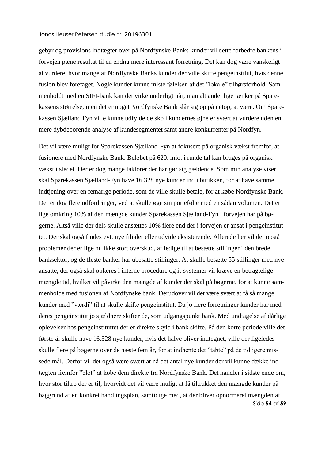gebyr og provisions indtægter over på Nordfynske Banks kunder vil dette forbedre bankens i forvejen pæne resultat til en endnu mere interessant forretning. Det kan dog være vanskeligt at vurdere, hvor mange af Nordfynske Banks kunder der ville skifte pengeinstitut, hvis denne fusion blev foretaget. Nogle kunder kunne miste følelsen af det "lokale" tilhørsforhold. Sammenholdt med en SIFI-bank kan det virke underligt når, man alt andet lige tænker på Sparekassens størrelse, men det er noget Nordfynske Bank slår sig op på netop, at være. Om Sparekassen Sjælland Fyn ville kunne udfylde de sko i kundernes øjne er svært at vurdere uden en mere dybdeborende analyse af kundesegmentet samt andre konkurrenter på Nordfyn.

Side **54** af **59** Det vil være muligt for Sparekassen Sjælland-Fyn at fokusere på organisk vækst fremfor, at fusionere med Nordfynske Bank. Beløbet på 620. mio. i runde tal kan bruges på organisk vækst i stedet. Der er dog mange faktorer der har gør sig gældende. Som min analyse viser skal Sparekassen Sjælland-Fyn have 16.328 nye kunder ind i butikken, for at have samme indtjening over en femårige periode, som de ville skulle betale, for at købe Nordfynske Bank. Der er dog flere udfordringer, ved at skulle øge sin portefølje med en sådan volumen. Det er lige omkring 10% af den mængde kunder Sparekassen Sjælland-Fyn i forvejen har på bøgerne. Altså ville der dels skulle ansættes 10% flere end der i forvejen er ansat i pengeinstituttet. Der skal også findes evt. nye filialer eller udvide eksisterende. Allerede her vil der opstå problemer der er lige nu ikke stort overskud, af ledige til at besætte stillinger i den brede banksektor, og de fleste banker har ubesatte stillinger. At skulle besætte 55 stillinger med nye ansatte, der også skal oplæres i interne procedure og it-systemer vil kræve en betragtelige mængde tid, hvilket vil påvirke den mængde af kunder der skal på bøgerne, for at kunne sammenholde med fusionen af Nordfynske bank. Derudover vil det være svært at få så mange kunder med "værdi" til at skulle skifte pengeinstitut. Da jo flere forretninger kunder har med deres pengeinstitut jo sjældnere skifter de, som udgangspunkt bank. Med undtagelse af dårlige oplevelser hos pengeinstituttet der er direkte skyld i bank skifte. På den korte periode ville det første år skulle have 16.328 nye kunder, hvis det halve bliver indtegnet, ville der ligeledes skulle flere på bøgerne over de næste fem år, for at indhente det "tabte" på de tidligere missede mål. Derfor vil det også være svært at nå det antal nye kunder der vil kunne dække indtægten fremfor "blot" at købe dem direkte fra Nordfynske Bank. Det handler i sidste ende om, hvor stor tiltro der er til, hvorvidt det vil være muligt at få tiltrukket den mængde kunder på baggrund af en konkret handlingsplan, samtidige med, at der bliver opnormeret mængden af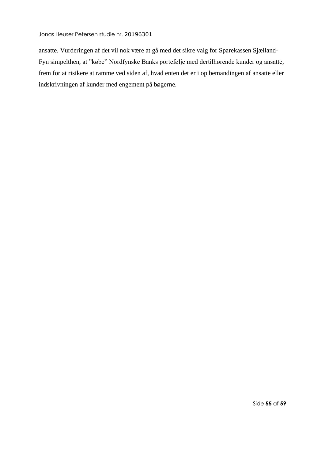ansatte. Vurderingen af det vil nok være at gå med det sikre valg for Sparekassen Sjælland-Fyn simpelthen, at "købe" Nordfynske Banks portefølje med dertilhørende kunder og ansatte, frem for at risikere at ramme ved siden af, hvad enten det er i op bemandingen af ansatte eller indskrivningen af kunder med engement på bøgerne.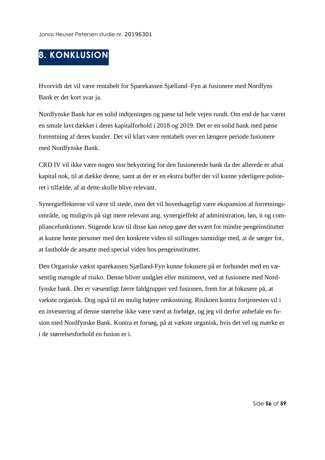# <span id="page-56-0"></span>**8. KONKLUSION**

Hvorvidt det vil være rentabelt for Sparekassen Sjælland–Fyn at fusionere med Nordfyns Bank er det kort svar ja.

Nordfynske Bank har en solid indtjeningen og pæne tal hele vejen rundt. Om end de har været en smule lavt dækket i deres kapitalforhold i 2018 og 2019. Det er en solid bank med pæne forrentning af deres kunder. Det vil klart være rentabelt over en længere periode fusionere med Nordfynske Bank.

CRD IV vil ikke være nogen stor bekymring for den fusionerede bank da der allerede er afsat kapital nok, til at dække denne, samt at der er en ekstra buffer der vil kunne yderligere polsteret i tilfælde, af at dette skulle blive relevant.

Synergieffekterne vil være til stede, men det vil hovedsageligt være ekspansion af forretningsområde, og muligvis på sigt mere relevant ang. synergieffekt af administration, løn, it og compliancefunktioner. Stigende krav til disse kan netop gøre det svært for mindre pengeinstitutter at kunne hente personer med den konkrete viden til stillingen samtidige med, at de sørger for, at fastholde de ansatte med special viden hos pengeinstituttet.

Den Organiske vækst sparekassen Sjælland-Fyn kunne fokusere på er forbundet med en væsentlig mængde af risiko. Denne bliver undgået eller minimeret, ved at fusionere med Nordfynske bank. Der er væsentligt færre faldgrupper ved fusionen, frem for at fokusere på, at vækste organisk. Dog også til en mulig højere omkostning. Risikoen kontra fortjenesten vil i en investering af denne størrelse ikke være værd at forfølge, og jeg vil derfor anbefale en fusion med Nordfynske Bank. Kontra et forsøg, på at vækste organisk, hvis det vel og mærke er i de størrelsesforhold en fusion er i.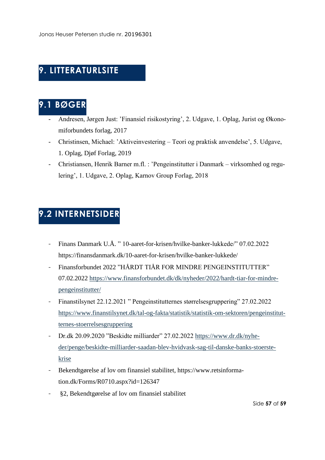# <span id="page-57-0"></span>**9. LITTERATURLSITE**

# <span id="page-57-1"></span>**9.1 BØGER**

- Andresen, Jørgen Just: 'Finansiel risikostyring', 2. Udgave, 1. Oplag, Jurist og Økonomiforbundets forlag, 2017
- Christinsen, Michael: 'Aktiveinvestering Teori og praktisk anvendelse', 5. Udgave, 1. Oplag, Djøf Forlag, 2019
- Christiansen, Henrik Barner m.fl. : 'Pengeinstitutter i Danmark virksomhed og regulering', 1. Udgave, 2. Oplag, Karnov Group Forlag, 2018

# <span id="page-57-2"></span>**9.2 INTERNETSIDER**

- Finans Danmark U.Å. " 10-aaret-for-krisen/hvilke-banker-lukkede/" 07.02.2022 https://finansdanmark.dk/10-aaret-for-krisen/hvilke-banker-lukkede/
- Finansforbundet 2022 "HÅRDT TIÅR FOR MINDRE PENGEINSTITUTTER" 07.02.2022 [https://www.finansforbundet.dk/dk/nyheder/2022/hardt-tiar-for-mindre](https://www.finansforbundet.dk/dk/nyheder/2022/hardt-tiar-for-mindre-pengeinstitutter/)[pengeinstitutter/](https://www.finansforbundet.dk/dk/nyheder/2022/hardt-tiar-for-mindre-pengeinstitutter/)
- Finanstilsynet 22.12.2021 " Pengeinstitutternes størrelsesgruppering" 27.02.2022 [https://www.finanstilsynet.dk/tal-og-fakta/statistik/statistik-om-sektoren/pengeinstitut](https://www.finanstilsynet.dk/tal-og-fakta/statistik/statistik-om-sektoren/pengeinstitutternes-stoerrelsesgruppering)[ternes-stoerrelsesgruppering](https://www.finanstilsynet.dk/tal-og-fakta/statistik/statistik-om-sektoren/pengeinstitutternes-stoerrelsesgruppering)
- Dr.dk 20.09.2020 "Beskidte milliarder" 27.02.2022 [https://www.dr.dk/nyhe](https://www.dr.dk/nyheder/penge/beskidte-milliarder-saadan-blev-hvidvask-sag-til-danske-banks-stoerste-krise)[der/penge/beskidte-milliarder-saadan-blev-hvidvask-sag-til-danske-banks-stoerste](https://www.dr.dk/nyheder/penge/beskidte-milliarder-saadan-blev-hvidvask-sag-til-danske-banks-stoerste-krise)[krise](https://www.dr.dk/nyheder/penge/beskidte-milliarder-saadan-blev-hvidvask-sag-til-danske-banks-stoerste-krise)
- Bekendtgørelse af lov om finansiel stabilitet, https://www.retsinformation.dk/Forms/R0710.aspx?id=126347
- §2, Bekendtgørelse af lov om finansiel stabilitet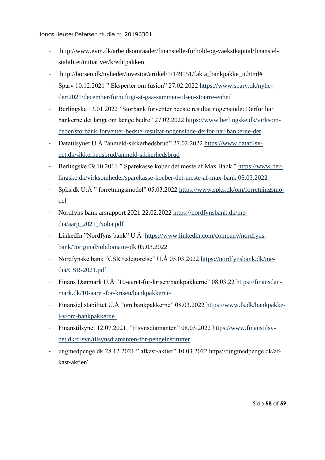- http://www.evm.dk/arbejdsomraader/finansielle-forhold-og-vaekstkapital/finansielstabilitet/initiativer/kreditpakken
- http://borsen.dk/nyheder/investor/artikel/1/149151/fakta\_bankpakke\_ii.html#
- Sparv 10.12.2021 " Eksperter om fusion" 27.02.2022 [https://www.sparv.dk/nyhe](https://www.sparv.dk/nyheder/2021/december/fornuftigt-at-gaa-sammen-til-en-stoerre-enhed)[der/2021/december/fornuftigt-at-gaa-sammen-til-en-stoerre-enhed](https://www.sparv.dk/nyheder/2021/december/fornuftigt-at-gaa-sammen-til-en-stoerre-enhed)
- Berlingske 13.01.2022 "Storbank forventer bedste resultat nogensinde: Derfor har bankerne det langt om længe bedre" 27.02.2022 [https://www.berlingske.dk/virksom](https://www.berlingske.dk/virksomheder/storbank-forventer-bedste-resultat-nogensinde-derfor-har-bankerne-det)[heder/storbank-forventer-bedste-resultat-nogensinde-derfor-har-bankerne-det](https://www.berlingske.dk/virksomheder/storbank-forventer-bedste-resultat-nogensinde-derfor-har-bankerne-det)
- Datatilsynet U.Å "anmeld-sikkerhedsbrud" 27.02.2022 [https://www.datatilsy](https://www.datatilsynet.dk/sikkerhedsbrud/anmeld-sikkerhedsbrud)[net.dk/sikkerhedsbrud/anmeld-sikkerhedsbrud](https://www.datatilsynet.dk/sikkerhedsbrud/anmeld-sikkerhedsbrud)
- Berlingske 09.10.2011 " Sparekasse køber det meste af Max Bank " [https://www.ber](https://www.berlingske.dk/virksomheder/sparekasse-koeber-det-meste-af-max-bank%2005.03.2022)[lingske.dk/virksomheder/sparekasse-koeber-det-meste-af-max-bank 05.03.2022](https://www.berlingske.dk/virksomheder/sparekasse-koeber-det-meste-af-max-bank%2005.03.2022)
- Spks.dk U:Å " forretningsmodel" 05.03.2022 [https://www.spks.dk/om/forretningsmo](https://www.spks.dk/om/forretningsmodel)[del](https://www.spks.dk/om/forretningsmodel)
- Nordfyns bank årsrapport 2021 22.02.2022 [https://nordfynsbank.dk/me](https://nordfynsbank.dk/media/aarp_2021_Noba.pdf)[dia/aarp\\_2021\\_Noba.pdf](https://nordfynsbank.dk/media/aarp_2021_Noba.pdf)
- LinkedIn "Nordfyns bank" U.Å [https://www.linkedin.com/company/nordfyns](https://www.linkedin.com/company/nordfyns-bank/?originalSubdomain=dk)[bank/?originalSubdomain=dk](https://www.linkedin.com/company/nordfyns-bank/?originalSubdomain=dk) 05.03.2022
- Nordfynske bank "CSR redegørelse" U.Å 05.03.2022 [https://nordfynsbank.dk/me](https://nordfynsbank.dk/media/CSR-2021.pdf)[dia/CSR-2021.pdf](https://nordfynsbank.dk/media/CSR-2021.pdf)
- Finans Danmark U.Å "10-aaret-for-krisen/bankpakkerne" 08.03.22 [https://finansdan](https://finansdanmark.dk/10-aaret-for-krisen/bankpakkerne/)[mark.dk/10-aaret-for-krisen/bankpakkerne/](https://finansdanmark.dk/10-aaret-for-krisen/bankpakkerne/)
- Finansiel stabilitet U.Å "om bankpakkerne" 08.03.2022 [https://www.fs.dk/bankpakke](https://www.fs.dk/bankpakke-i-v/om-bankpakkerne%60)[i-v/om-bankpakkerne`](https://www.fs.dk/bankpakke-i-v/om-bankpakkerne%60)
- Finanstilsynet 12.07.2021. "tilsynsdiamanten" 08.03.2022 [https://www.finanstilsy](https://www.finanstilsynet.dk/tilsyn/tilsynsdiamanten-for-pengeinstitutter)[net.dk/tilsyn/tilsynsdiamanten-for-pengeinstitutter](https://www.finanstilsynet.dk/tilsyn/tilsynsdiamanten-for-pengeinstitutter)
- ungmedpenge.dk 28.12.2021 " afkast-aktier" 10.03.2022 https://ungmedpenge.dk/afkast-aktier/